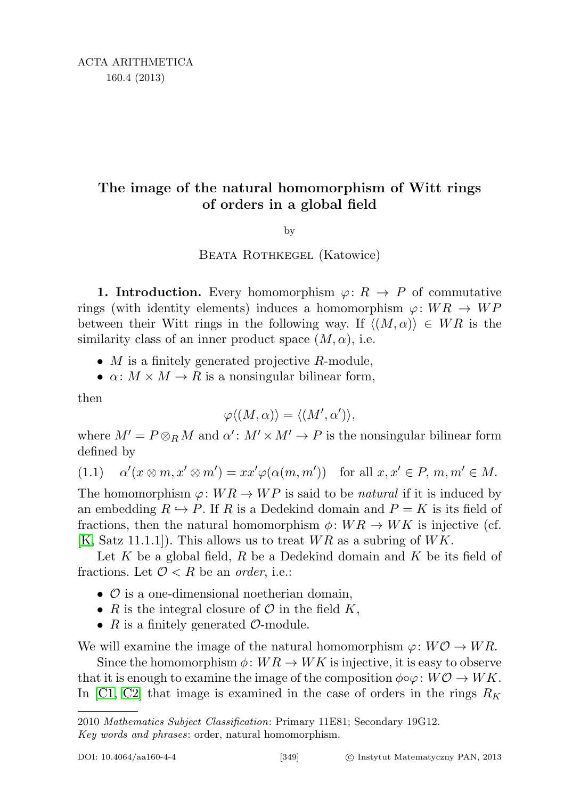## The image of the natural homomorphism of Witt rings of orders in a global field

by

## BEATA ROTHKEGEL (Katowice)

**1. Introduction.** Every homomorphism  $\varphi: R \to P$  of commutative rings (with identity elements) induces a homomorphism  $\varphi: WR \to WP$ between their Witt rings in the following way. If  $\langle (M, \alpha) \rangle \in WR$  is the similarity class of an inner product space  $(M, \alpha)$ , i.e.

- $M$  is a finitely generated projective  $R$ -module,
- $\alpha: M \times M \rightarrow R$  is a nonsingular bilinear form,

then

$$
\varphi \langle (M, \alpha) \rangle = \langle (M', \alpha') \rangle,
$$

where  $M' = P \otimes_R M$  and  $\alpha' : M' \times M' \to P$  is the nonsingular bilinear form defined by

<span id="page-0-0"></span>
$$
(1.1) \quad \alpha'(x \otimes m, x' \otimes m') = xx'\varphi(\alpha(m, m')) \quad \text{for all } x, x' \in P, m, m' \in M.
$$

The homomorphism  $\varphi: WR \to WP$  is said to be *natural* if it is induced by an embedding  $R \hookrightarrow P$ . If R is a Dedekind domain and  $P = K$  is its field of fractions, then the natural homomorphism  $\phi: WR \to WK$  is injective (cf.  $[K, Satz 11.1.1]$  $[K, Satz 11.1.1]$ . This allows us to treat  $WR$  as a subring of  $WK$ .

Let K be a global field, R be a Dedekind domain and K be its field of fractions. Let  $\mathcal{O} < R$  be an *order*, i.e.:

- $\mathcal O$  is a one-dimensional noetherian domain,
- R is the integral closure of  $\mathcal O$  in the field K,
- $R$  is a finitely generated  $\mathcal{O}\text{-module.}$

We will examine the image of the natural homomorphism  $\varphi: W\mathcal{O} \to WR$ .

Since the homomorphism  $\phi: WR \to WK$  is injective, it is easy to observe that it is enough to examine the image of the composition  $\phi \circ \varphi : W \mathcal{O} \to W K$ . In [\[C1,](#page-34-1) [C2\]](#page-34-2) that image is examined in the case of orders in the rings  $R_K$ 

<sup>2010</sup> Mathematics Subject Classification: Primary 11E81; Secondary 19G12.

Key words and phrases: order, natural homomorphism.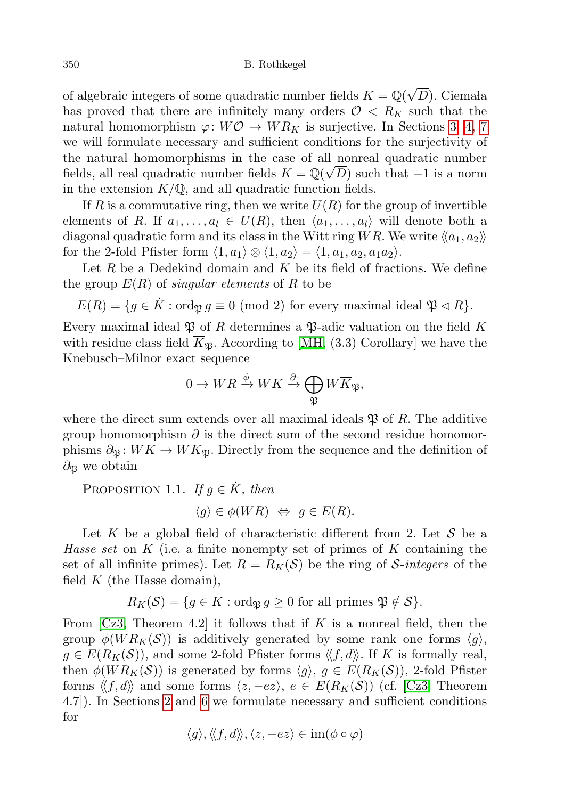of algebraic integers of some quadratic number fields  $K = \mathbb{Q}(\sqrt{2})$  $(D)$ . Ciemała has proved that there are infinitely many orders  $\mathcal{O} \le R_K$  such that the natural homomorphism  $\varphi: W\mathcal{O} \to WR_K$  is surjective. In Sections [3,](#page-8-0) [4,](#page-15-0) [7](#page-31-0) we will formulate necessary and sufficient conditions for the surjectivity of the natural homomorphisms in the case of all nonreal quadratic number fields, all real quadratic number fields  $K = \mathbb{Q}(\sqrt{D})$  such that  $-1$  is a norm in the extension  $K/\mathbb{Q}$ , and all quadratic function fields.

If R is a commutative ring, then we write  $U(R)$  for the group of invertible elements of R. If  $a_1, \ldots, a_l \in U(R)$ , then  $\langle a_1, \ldots, a_l \rangle$  will denote both a diagonal quadratic form and its class in the Witt ring WR. We write  $\langle a_1, a_2 \rangle$ for the 2-fold Pfister form  $\langle 1, a_1 \rangle \otimes \langle 1, a_2 \rangle = \langle 1, a_1, a_2, a_1 a_2 \rangle$ .

Let  $R$  be a Dedekind domain and  $K$  be its field of fractions. We define the group  $E(R)$  of *singular elements* of R to be

 $E(R) = \{ g \in \dot{K} : \text{ord}_{\mathfrak{P}} g \equiv 0 \pmod{2} \text{ for every maximal ideal } \mathfrak{P} \lhd R \}.$ 

Every maximal ideal  $\mathfrak P$  of R determines a  $\mathfrak P$ -adic valuation on the field K with residue class field  $\overline{K}_{\mathfrak{B}}$ . According to [\[MH,](#page-35-0) (3.3) Corollary] we have the Knebusch–Milnor exact sequence

$$
0 \to WR \xrightarrow{\phi} WK \xrightarrow{\partial} \bigoplus_{\mathfrak{P}} W\overline{K}_{\mathfrak{P}},
$$

where the direct sum extends over all maximal ideals  $\mathfrak{P}$  of R. The additive group homomorphism  $\partial$  is the direct sum of the second residue homomorphisms  $\partial_{\mathfrak{P}} : WK \to W\overline{K}_{\mathfrak{P}}$ . Directly from the sequence and the definition of  $\partial_{\mathfrak{P}}$  we obtain

PROPOSITION 1.1. If  $g \in \dot{K}$ , then

$$
\langle g \rangle \in \phi(WR) \iff g \in E(R).
$$

Let K be a global field of characteristic different from 2. Let  $\mathcal S$  be a Hasse set on  $K$  (i.e. a finite nonempty set of primes of K containing the set of all infinite primes). Let  $R = R_K(\mathcal{S})$  be the ring of S-integers of the field  $K$  (the Hasse domain),

$$
R_K(\mathcal{S}) = \{ g \in K : \text{ord}_{\mathfrak{P}} g \ge 0 \text{ for all primes } \mathfrak{P} \notin \mathcal{S} \}.
$$

From  $\lceil$ Cz3, Theorem 4.2 it follows that if K is a nonreal field, then the group  $\phi(W R_K(\mathcal{S}))$  is additively generated by some rank one forms  $\langle g \rangle$ ,  $g \in E(R_K(\mathcal{S}))$ , and some 2-fold Pfister forms  $\langle f, d \rangle$ . If K is formally real, then  $\phi(W R_K(\mathcal{S}))$  is generated by forms  $\langle g \rangle, g \in E(R_K(\mathcal{S}))$ , 2-fold Pfister forms  $\langle f, d \rangle$  and some forms  $\langle z, -ez \rangle$ ,  $e \in E(R_K(\mathcal{S}))$  (cf. [\[Cz3,](#page-34-3) Theorem 4.7]). In Sections [2](#page-2-0) and [6](#page-25-0) we formulate necessary and sufficient conditions for

$$
\langle g \rangle, \langle \langle f, d \rangle \rangle, \langle z, -ez \rangle \in \operatorname{im}(\phi \circ \varphi)
$$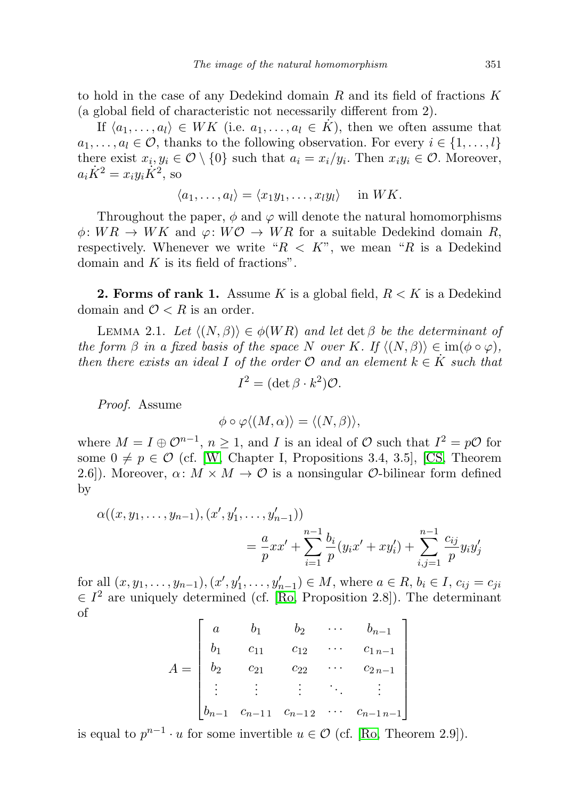to hold in the case of any Dedekind domain  $R$  and its field of fractions  $K$ (a global field of characteristic not necessarily different from 2).

If  $\langle a_1, \ldots, a_l \rangle \in WK$  (i.e.  $a_1, \ldots, a_l \in K$ ), then we often assume that  $a_1, \ldots, a_l \in \mathcal{O}$ , thanks to the following observation. For every  $i \in \{1, \ldots, l\}$ there exist  $x_i, y_i \in \mathcal{O} \setminus \{0\}$  such that  $a_i = x_i/y_i$ . Then  $x_i y_i \in \mathcal{O}$ . Moreover,  $a_i \dot{K}^2 = x_i y_i \dot{K}^2$ , so

$$
\langle a_1,\ldots,a_l\rangle=\langle x_1y_1,\ldots,x_ly_l\rangle\quad\text{in }WK.
$$

Throughout the paper,  $\phi$  and  $\varphi$  will denote the natural homomorphisms  $\phi: WR \rightarrow WK$  and  $\varphi: W\mathcal{O} \rightarrow WR$  for a suitable Dedekind domain R, respectively. Whenever we write " $R < K$ ", we mean "R is a Dedekind" domain and  $K$  is its field of fractions".

<span id="page-2-0"></span>**2. Forms of rank 1.** Assume K is a global field,  $R \lt K$  is a Dedekind domain and  $\mathcal{O} < R$  is an order.

<span id="page-2-1"></span>LEMMA 2.1. Let  $\langle (N, \beta) \rangle \in \phi(WR)$  and let det  $\beta$  be the determinant of the form  $\beta$  in a fixed basis of the space N over K. If  $\langle (N, \beta) \rangle \in \text{im}(\phi \circ \varphi)$ , then there exists an ideal I of the order  $\mathcal O$  and an element  $k \in \dot K$  such that

$$
I^2 = (\det \beta \cdot k^2) \mathcal{O}.
$$

Proof. Assume

$$
\phi \circ \varphi \langle (M, \alpha) \rangle = \langle (N, \beta) \rangle,
$$

where  $M = I \oplus \mathcal{O}^{n-1}$ ,  $n \geq 1$ , and I is an ideal of  $\mathcal O$  such that  $I^2 = p\mathcal{O}$  for some  $0 \neq p \in \mathcal{O}$  (cf. [\[W,](#page-35-1) Chapter I, Propositions 3.4, 3.5], [\[CS,](#page-34-4) Theorem 2.6]). Moreover,  $\alpha: M \times M \to \mathcal{O}$  is a nonsingular  $\mathcal{O}\text{-bilinear form defined}$ by

$$
\alpha((x, y_1, \dots, y_{n-1}), (x', y'_1, \dots, y'_{n-1}))
$$
  
=  $\frac{a}{p}xx' + \sum_{i=1}^{n-1} \frac{b_i}{p}(y_ix' + xy'_i) + \sum_{i,j=1}^{n-1} \frac{c_{ij}}{p}y_iy'_j$ 

for all  $(x, y_1, \ldots, y_{n-1}), (x', y'_1, \ldots, y'_{n-1}) \in M$ , where  $a \in R$ ,  $b_i \in I$ ,  $c_{ij} = c_{ji}$  $\in I<sup>2</sup>$  are uniquely determined (cf. [\[Ro,](#page-35-2) Proposition 2.8]). The determinant of Г

$$
A = \begin{bmatrix} a & b_1 & b_2 & \cdots & b_{n-1} \\ b_1 & c_{11} & c_{12} & \cdots & c_{1n-1} \\ b_2 & c_{21} & c_{22} & \cdots & c_{2n-1} \\ \vdots & \vdots & \vdots & \ddots & \vdots \\ b_{n-1} & c_{n-11} & c_{n-12} & \cdots & c_{n-1n-1} \end{bmatrix}
$$

is equal to  $p^{n-1} \cdot u$  for some invertible  $u \in \mathcal{O}$  (cf. [\[Ro,](#page-35-2) Theorem 2.9]).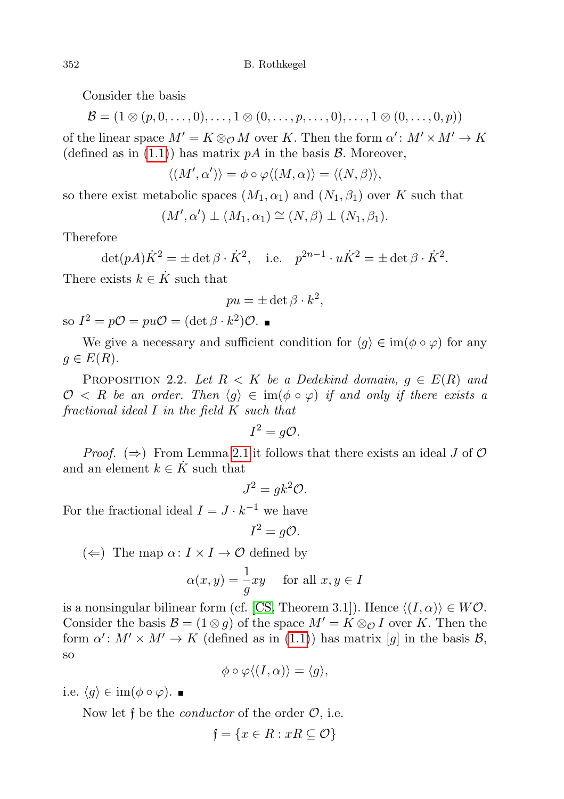Consider the basis

$$
\mathcal{B} = (1 \otimes (p, 0, \ldots, 0), \ldots, 1 \otimes (0, \ldots, p, \ldots, 0), \ldots, 1 \otimes (0, \ldots, 0, p))
$$

of the linear space  $M' = K \otimes_{\mathcal{O}} M$  over K. Then the form  $\alpha' : M' \times M' \to K$ (defined as in  $(1.1)$ ) has matrix pA in the basis B. Moreover,

$$
\langle (M', \alpha') \rangle = \phi \circ \varphi \langle (M, \alpha) \rangle = \langle (N, \beta) \rangle,
$$

so there exist metabolic spaces  $(M_1, \alpha_1)$  and  $(N_1, \beta_1)$  over K such that

$$
(M', \alpha') \perp (M_1, \alpha_1) \cong (N, \beta) \perp (N_1, \beta_1).
$$

Therefore

$$
\det(pA)\dot{K}^2 = \pm \det \beta \cdot \dot{K}^2, \quad \text{i.e.} \quad p^{2n-1} \cdot u\dot{K}^2 = \pm \det \beta \cdot \dot{K}^2.
$$

There exists  $k \in K$  such that

$$
pu = \pm \det \beta \cdot k^2,
$$

so  $I^2 = p\mathcal{O} = pu\mathcal{O} = (\det \beta \cdot k^2)\mathcal{O}.$ 

We give a necessary and sufficient condition for  $\langle g \rangle \in \text{im}(\phi \circ \varphi)$  for any  $g \in E(R)$ .

<span id="page-3-0"></span>PROPOSITION 2.2. Let  $R < K$  be a Dedekind domain,  $g \in E(R)$  and  $\mathcal{O} \langle R \rangle$  be an order. Then  $\langle q \rangle \in \text{im}(\phi \circ \varphi)$  if and only if there exists a fractional ideal I in the field K such that

$$
I^2 = g\mathcal{O}.
$$

*Proof.*  $(\Rightarrow)$  From Lemma [2.1](#page-2-1) it follows that there exists an ideal J of  $\mathcal{O}$ and an element  $k \in K$  such that

$$
J^2 = g k^2 \mathcal{O}.
$$

For the fractional ideal  $I = J \cdot k^{-1}$  we have

$$
I^2 = g\mathcal{O}.
$$

 $(\Leftarrow)$  The map  $\alpha: I \times I \rightarrow \mathcal{O}$  defined by

$$
\alpha(x, y) = -\frac{1}{g}xy \quad \text{ for all } x, y \in I
$$

is a nonsingular bilinear form (cf. [\[CS,](#page-34-4) Theorem 3.1]). Hence  $\langle (I, \alpha) \rangle \in W\mathcal{O}$ . Consider the basis  $\mathcal{B} = (1 \otimes g)$  of the space  $M' = K \otimes_{\mathcal{O}} I$  over K. Then the form  $\alpha' : M' \times M' \to K$  (defined as in [\(1.1\)](#page-0-0)) has matrix [g] in the basis B, so

$$
\phi \circ \varphi \langle (I, \alpha) \rangle = \langle g \rangle,
$$

i.e.  $\langle g \rangle \in \text{im}(\phi \circ \varphi)$ . ■

Now let f be the *conductor* of the order  $\mathcal{O}$ , i.e.

$$
\mathfrak{f} = \{ x \in R : xR \subseteq \mathcal{O} \}
$$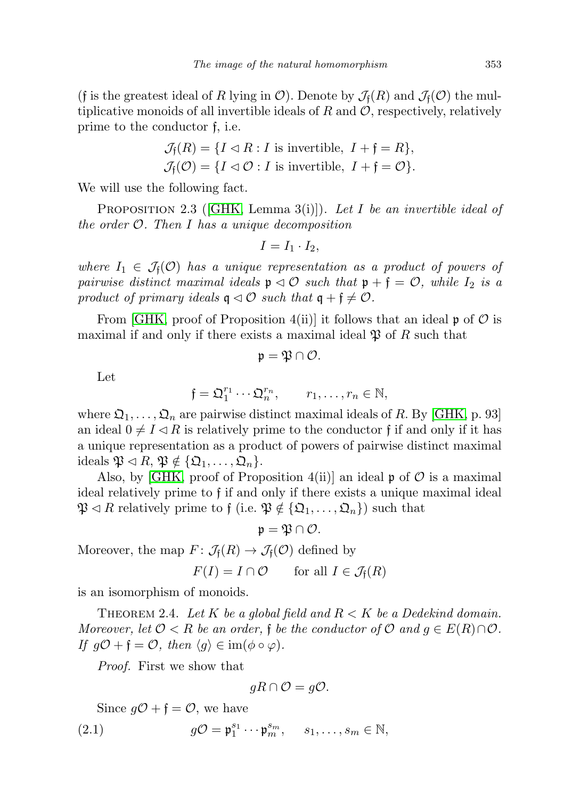(f is the greatest ideal of R lying in  $\mathcal{O}$ ). Denote by  $\mathcal{J}_f(R)$  and  $\mathcal{J}_f(\mathcal{O})$  the multiplicative monoids of all invertible ideals of  $R$  and  $\mathcal{O}$ , respectively, relatively prime to the conductor f, i.e.

$$
\mathcal{J}_{\mathfrak{f}}(R) = \{ I \lhd R : I \text{ is invertible, } I + \mathfrak{f} = R \},
$$

$$
\mathcal{J}_{\mathfrak{f}}(\mathcal{O}) = \{ I \vartriangleleft \mathcal{O} : I \text{ is invertible, } I + \mathfrak{f} = \mathcal{O} \}.
$$

We will use the following fact.

<span id="page-4-1"></span>PROPOSITION 2.3 ([\[GHK,](#page-34-5) Lemma 3(i)]). Let I be an invertible ideal of the order  $O$ . Then I has a unique decomposition

$$
I=I_1\cdot I_2,
$$

where  $I_1 \in \mathcal{J}_f(\mathcal{O})$  has a unique representation as a product of powers of pairwise distinct maximal ideals  $\mathfrak{p} \triangleleft \mathcal{O}$  such that  $\mathfrak{p} + \mathfrak{f} = \mathcal{O}$ , while  $I_2$  is a product of primary ideals  $\mathfrak{q} \triangleleft \mathcal{O}$  such that  $\mathfrak{q} + \mathfrak{f} \neq \mathcal{O}$ .

From [\[GHK,](#page-34-5) proof of Proposition 4(ii)] it follows that an ideal  $\mathfrak p$  of  $\mathcal O$  is maximal if and only if there exists a maximal ideal  $\mathfrak P$  of R such that

$$
\mathfrak{p}=\mathfrak{P}\cap\mathcal{O}.
$$

Let

$$
\mathfrak{f} = \mathfrak{Q}_1^{r_1} \cdots \mathfrak{Q}_n^{r_n}, \qquad r_1, \ldots, r_n \in \mathbb{N},
$$

where  $\mathfrak{Q}_1, \ldots, \mathfrak{Q}_n$  are pairwise distinct maximal ideals of R. By [\[GHK,](#page-34-5) p. 93] an ideal  $0 \neq I \lhd R$  is relatively prime to the conductor f if and only if it has a unique representation as a product of powers of pairwise distinct maximal ideals  $\mathfrak{P} \triangleleft R$ ,  $\mathfrak{P} \notin \{ \mathfrak{Q}_1, \ldots, \mathfrak{Q}_n \}.$ 

Also, by [\[GHK,](#page-34-5) proof of Proposition 4(ii)] an ideal  $\mathfrak p$  of  $\mathcal O$  is a maximal ideal relatively prime to f if and only if there exists a unique maximal ideal  $\mathfrak{P} \triangleleft R$  relatively prime to f (i.e.  $\mathfrak{P} \notin {\{\mathfrak{Q}_1,\ldots,\mathfrak{Q}_n\}}$ ) such that

$$
\mathfrak{p}=\mathfrak{P}\cap\mathcal{O}.
$$

Moreover, the map  $F: \mathcal{J}_{f}(R) \to \mathcal{J}_{f}(O)$  defined by

$$
F(I) = I \cap \mathcal{O} \qquad \text{for all } I \in \mathcal{J}_{\mathfrak{f}}(R)
$$

is an isomorphism of monoids.

<span id="page-4-2"></span>THEOREM 2.4. Let K be a global field and  $R < K$  be a Dedekind domain. Moreover, let  $\mathcal{O} < R$  be an order, f be the conductor of  $\mathcal{O}$  and  $q \in E(R) \cap \mathcal{O}$ . If  $g\mathcal{O} + \mathfrak{f} = \mathcal{O}$ , then  $\langle g \rangle \in \text{im}(\phi \circ \varphi)$ .

Proof. First we show that

$$
gR \cap \mathcal{O} = g\mathcal{O}.
$$

Since  $g\mathcal{O} + \mathfrak{f} = \mathcal{O}$ , we have

<span id="page-4-0"></span>(2.1) 
$$
gO = \mathfrak{p}_1^{s_1} \cdots \mathfrak{p}_m^{s_m}, \quad s_1, \ldots, s_m \in \mathbb{N},
$$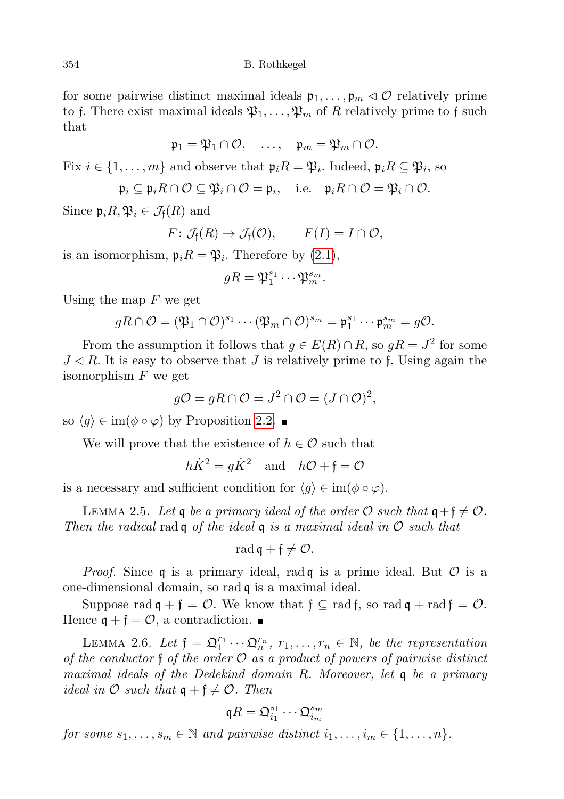for some pairwise distinct maximal ideals  $\mathfrak{p}_1, \ldots, \mathfrak{p}_m \lhd \mathcal{O}$  relatively prime to f. There exist maximal ideals  $\mathfrak{P}_1, \ldots, \mathfrak{P}_m$  of R relatively prime to f such that

$$
\mathfrak{p}_1=\mathfrak{P}_1\cap\mathcal{O},\quad \ldots,\quad \mathfrak{p}_m=\mathfrak{P}_m\cap\mathcal{O}.
$$

Fix  $i \in \{1, \ldots, m\}$  and observe that  $\mathfrak{p}_i R = \mathfrak{P}_i$ . Indeed,  $\mathfrak{p}_i R \subseteq \mathfrak{P}_i$ , so

$$
\mathfrak{p}_i\subseteq \mathfrak{p}_iR\cap\mathcal{O}\subseteq \mathfrak{P}_i\cap\mathcal{O}=\mathfrak{p}_i,\quad\text{i.e.}\quad \mathfrak{p}_iR\cap\mathcal{O}=\mathfrak{P}_i\cap\mathcal{O}.
$$

Since  $\mathfrak{p}_i R, \mathfrak{P}_i \in \mathcal{J}_f(R)$  and

$$
F\colon \mathcal{J}_{\mathfrak{f}}(R)\to \mathcal{J}_{\mathfrak{f}}(\mathcal{O}),\qquad F(I)=I\cap \mathcal{O},
$$

is an isomorphism,  $\mathfrak{p}_i R = \mathfrak{P}_i$ . Therefore by  $(2.1)$ ,

$$
gR=\mathfrak{P}_1^{s_1}\cdots\mathfrak{P}_m^{s_m}.
$$

Using the map  $F$  we get

$$
gR\cap \mathcal{O}=(\mathfrak{P}_1\cap \mathcal{O})^{s_1}\cdots (\mathfrak{P}_m\cap \mathcal{O})^{s_m}=\mathfrak{p}_1^{s_1}\cdots \mathfrak{p}_m^{s_m}=g\mathcal{O}.
$$

From the assumption it follows that  $g \in E(R) \cap R$ , so  $gR = J^2$  for some  $J \triangleleft R$ . It is easy to observe that J is relatively prime to f. Using again the isomorphism  $F$  we get

$$
g\mathcal{O} = gR \cap \mathcal{O} = J^2 \cap \mathcal{O} = (J \cap \mathcal{O})^2,
$$

so  $\langle q \rangle \in \text{im}(\phi \circ \varphi)$  by Proposition [2.2.](#page-3-0)

We will prove that the existence of  $h \in \mathcal{O}$  such that

$$
h\dot{K}^2 = g\dot{K}^2
$$
 and  $h\mathcal{O} + \mathfrak{f} = \mathcal{O}$ 

is a necessary and sufficient condition for  $\langle q \rangle \in \text{im}(\phi \circ \varphi)$ .

<span id="page-5-0"></span>LEMMA 2.5. Let q be a primary ideal of the order O such that  $q + \mathfrak{f} \neq \mathcal{O}$ . Then the radical rad q of the ideal q is a maximal ideal in  $\mathcal O$  such that

$$
\operatorname{rad} \mathfrak{q} + \mathfrak{f} \neq \mathcal{O}.
$$

*Proof.* Since q is a primary ideal, rad q is a prime ideal. But  $\mathcal O$  is a one-dimensional domain, so rad q is a maximal ideal.

Suppose rad  $\mathfrak{q} + \mathfrak{f} = \mathcal{O}$ . We know that  $\mathfrak{f} \subseteq \text{rad } \mathfrak{f}$ , so rad  $\mathfrak{q} + \text{rad } \mathfrak{f} = \mathcal{O}$ . Hence  $\mathfrak{q} + \mathfrak{f} = \mathcal{O}$ , a contradiction.

<span id="page-5-1"></span>LEMMA 2.6. Let  $\mathfrak{f} = \mathfrak{Q}_1^{r_1} \cdots \mathfrak{Q}_n^{r_n}$ ,  $r_1, \ldots, r_n \in \mathbb{N}$ , be the representation of the conductor  $\mathfrak f$  of the order  $\mathcal O$  as a product of powers of pairwise distinct maximal ideals of the Dedekind domain R. Moreover, let q be a primary ideal in  $\mathcal O$  such that  $\mathfrak q + \mathfrak f \neq \mathcal O$ . Then

$$
\mathfrak{q}R=\mathfrak{Q}_{i_1}^{s_1}\cdots \mathfrak{Q}_{i_m}^{s_m}
$$

for some  $s_1, \ldots, s_m \in \mathbb{N}$  and pairwise distinct  $i_1, \ldots, i_m \in \{1, \ldots, n\}.$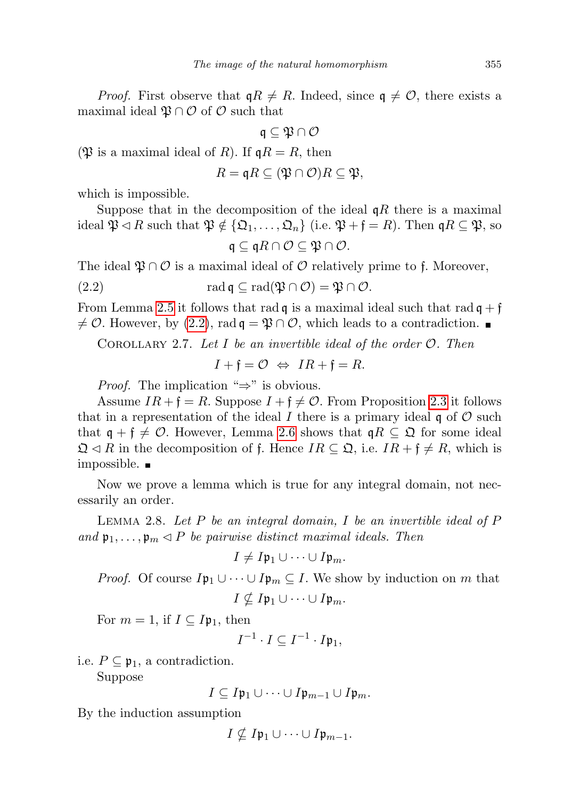*Proof.* First observe that  $qR \neq R$ . Indeed, since  $q \neq \mathcal{O}$ , there exists a maximal ideal  $\mathfrak{P} \cap \mathcal{O}$  of  $\mathcal{O}$  such that

$$
\mathfrak{q}\subseteq\mathfrak{P}\cap\mathcal{O}
$$

( $\mathfrak{P}$  is a maximal ideal of R). If  $\mathfrak{q}R = R$ , then

$$
R = \mathfrak{q}R \subseteq (\mathfrak{P} \cap \mathcal{O})R \subseteq \mathfrak{P},
$$

which is impossible.

Suppose that in the decomposition of the ideal  $qR$  there is a maximal ideal  $\mathfrak{P} \triangleleft R$  such that  $\mathfrak{P} \notin {\mathfrak{Q}}_1, \ldots, {\mathfrak{Q}}_n$  (i.e.  $\mathfrak{P} + \mathfrak{f} = R$ ). Then  $\mathfrak{q}R \subseteq \mathfrak{P}$ , so

$$
\mathfrak{q} \subseteq \mathfrak{q}R \cap \mathcal{O} \subseteq \mathfrak{P} \cap \mathcal{O}.
$$

<span id="page-6-0"></span>The ideal  $\mathfrak{P} \cap \mathcal{O}$  is a maximal ideal of  $\mathcal{O}$  relatively prime to f. Moreover,

(2.2) 
$$
\operatorname{rad} \mathfrak{q} \subseteq \operatorname{rad}(\mathfrak{P} \cap \mathcal{O}) = \mathfrak{P} \cap \mathcal{O}.
$$

From Lemma [2.5](#page-5-0) it follows that rad  $\mathfrak{q}$  is a maximal ideal such that rad  $\mathfrak{q} + \mathfrak{f}$  $\neq$  O. However, by [\(2.2\)](#page-6-0), rad  $\mathfrak{q} = \mathfrak{P} \cap \mathcal{O}$ , which leads to a contradiction.

<span id="page-6-1"></span>COROLLARY 2.7. Let I be an invertible ideal of the order  $\mathcal{O}$ . Then

 $I + \mathfrak{f} = \mathcal{O} \Leftrightarrow IR + \mathfrak{f} = R.$ 

*Proof.* The implication " $\Rightarrow$ " is obvious.

Assume  $IR + f = R$ . Suppose  $I + f \neq \mathcal{O}$ . From Proposition [2.3](#page-4-1) it follows that in a representation of the ideal I there is a primary ideal  $\mathfrak q$  of  $\mathcal O$  such that  $\mathfrak{q} + \mathfrak{f} \neq \mathcal{O}$ . However, Lemma [2.6](#page-5-1) shows that  $\mathfrak{q}R \subseteq \mathfrak{Q}$  for some ideal  $\mathfrak{Q} \triangleleft R$  in the decomposition of f. Hence  $IR \subseteq \mathfrak{Q}$ , i.e.  $IR + \mathfrak{f} \neq R$ , which is impossible.

Now we prove a lemma which is true for any integral domain, not necessarily an order.

LEMMA 2.8. Let  $P$  be an integral domain,  $I$  be an invertible ideal of  $P$ and  $\mathfrak{p}_1, \ldots, \mathfrak{p}_m \triangleleft P$  be pairwise distinct maximal ideals. Then

$$
I \neq I\mathfrak{p}_1 \cup \cdots \cup I\mathfrak{p}_m.
$$

*Proof.* Of course  $I\mathfrak{p}_1 \cup \cdots \cup I\mathfrak{p}_m \subseteq I$ . We show by induction on m that  $I \nsubseteq I_{p_1} \cup \cdots \cup I_{p_m}$ .

For  $m = 1$ , if  $I \subseteq I_{p_1}$ , then

$$
I^{-1} \cdot I \subseteq I^{-1} \cdot I\mathfrak{p}_1,
$$

i.e.  $P \subseteq \mathfrak{p}_1$ , a contradiction.

Suppose

$$
I\subseteq I\mathfrak{p}_1\cup\cdots\cup I\mathfrak{p}_{m-1}\cup I\mathfrak{p}_m.
$$

By the induction assumption

$$
I \nsubseteq I\mathfrak{p}_1 \cup \cdots \cup I\mathfrak{p}_{m-1}.
$$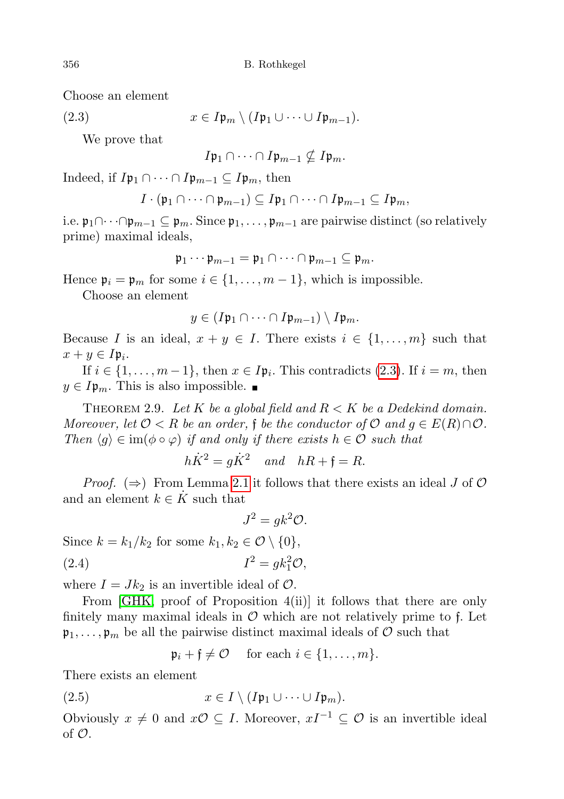Choose an element

<span id="page-7-0"></span>(2.3) 
$$
x \in I\mathfrak{p}_m \setminus (I\mathfrak{p}_1 \cup \cdots \cup I\mathfrak{p}_{m-1}).
$$

We prove that

$$
I\mathfrak{p}_1\cap\cdots\cap I\mathfrak{p}_{m-1}\nsubseteq I\mathfrak{p}_m.
$$

Indeed, if  $I\mathfrak{p}_1 \cap \cdots \cap I\mathfrak{p}_{m-1} \subseteq I\mathfrak{p}_m$ , then

$$
I\cdot(\mathfrak{p}_1\cap\cdots\cap\mathfrak{p}_{m-1})\subseteq I\mathfrak{p}_1\cap\cdots\cap I\mathfrak{p}_{m-1}\subseteq I\mathfrak{p}_m,
$$

i.e.  $\mathfrak{p}_1 \cap \cdots \cap \mathfrak{p}_{m-1} \subseteq \mathfrak{p}_m$ . Since  $\mathfrak{p}_1, \ldots, \mathfrak{p}_{m-1}$  are pairwise distinct (so relatively prime) maximal ideals,

$$
\mathfrak{p}_1\cdots\mathfrak{p}_{m-1}=\mathfrak{p}_1\cap\cdots\cap\mathfrak{p}_{m-1}\subseteq\mathfrak{p}_m.
$$

Hence  $\mathfrak{p}_i = \mathfrak{p}_m$  for some  $i \in \{1, \ldots, m-1\}$ , which is impossible.

Choose an element

$$
y\in (I\mathfrak{p}_1\cap\cdots\cap I\mathfrak{p}_{m-1})\setminus I\mathfrak{p}_m.
$$

Because I is an ideal,  $x + y \in I$ . There exists  $i \in \{1, ..., m\}$  such that  $x+y\in I_{\mathfrak{p}_i}.$ 

If  $i \in \{1, \ldots, m-1\}$ , then  $x \in I\mathfrak{p}_i$ . This contradicts [\(2.3\)](#page-7-0). If  $i = m$ , then  $y \in I_{\mathfrak{p}_m}$ . This is also impossible.

<span id="page-7-3"></span>THEOREM 2.9. Let K be a global field and  $R < K$  be a Dedekind domain. Moreover, let  $\mathcal{O} < R$  be an order, f be the conductor of  $\mathcal{O}$  and  $g \in E(R) \cap \mathcal{O}$ . Then  $\langle q \rangle \in \text{im}(\phi \circ \varphi)$  if and only if there exists  $h \in \mathcal{O}$  such that

$$
h\dot{K}^2 = g\dot{K}^2 \quad and \quad hR + \mathfrak{f} = R.
$$

*Proof.*  $(\Rightarrow)$  From Lemma [2.1](#page-2-1) it follows that there exists an ideal J of  $\mathcal{O}$ and an element  $k \in K$  such that

$$
J^2 = g k^2 \mathcal{O}.
$$

<span id="page-7-2"></span>Since  $k = k_1/k_2$  for some  $k_1, k_2 \in \mathcal{O} \setminus \{0\},$ (2.4)  $I^2 = g k_1^2 \mathcal{O},$ 

where  $I = Jk_2$  is an invertible ideal of  $\mathcal{O}$ .

From [\[GHK,](#page-34-5) proof of Proposition 4(ii)] it follows that there are only finitely many maximal ideals in  $\mathcal O$  which are not relatively prime to f. Let  $\mathfrak{p}_1, \ldots, \mathfrak{p}_m$  be all the pairwise distinct maximal ideals of O such that

$$
\mathfrak{p}_i + \mathfrak{f} \neq \mathcal{O} \quad \text{ for each } i \in \{1, \ldots, m\}.
$$

There exists an element

<span id="page-7-1"></span>(2.5) 
$$
x \in I \setminus (I\mathfrak{p}_1 \cup \cdots \cup I\mathfrak{p}_m).
$$

Obviously  $x \neq 0$  and  $x\mathcal{O} \subseteq I$ . Moreover,  $xI^{-1} \subseteq \mathcal{O}$  is an invertible ideal of  $\mathcal{O}$ .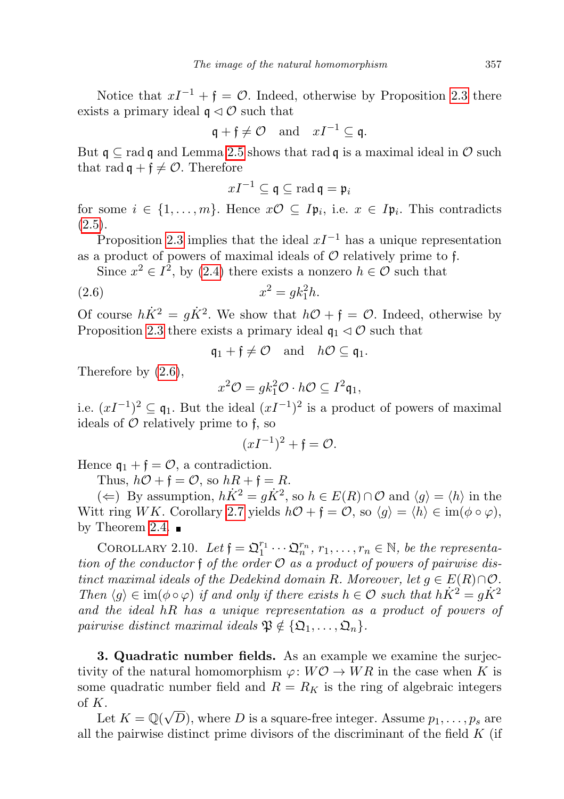Notice that  $xI^{-1} + \mathfrak{f} = \mathcal{O}$ . Indeed, otherwise by Proposition [2.3](#page-4-1) there exists a primary ideal  $\mathfrak{q} \triangleleft \mathcal{O}$  such that

$$
\mathfrak{q} + \mathfrak{f} \neq \mathcal{O} \quad \text{and} \quad xI^{-1} \subseteq \mathfrak{q}.
$$

But  $\mathfrak{q} \subset \text{rad } \mathfrak{q}$  and Lemma [2.5](#page-5-0) shows that rad  $\mathfrak{q}$  is a maximal ideal in  $\mathcal{O}$  such that rad  $\mathfrak{q} + \mathfrak{f} \neq \mathcal{O}$ . Therefore

$$
xI^{-1}\subseteq \mathfrak{q}\subseteq \mathop{\mathrm{rad}} \mathfrak{q}=\mathfrak{p}_i
$$

for some  $i \in \{1, \ldots, m\}$ . Hence  $x\mathcal{O} \subseteq I\mathfrak{p}_i$ , i.e.  $x \in I\mathfrak{p}_i$ . This contradicts  $(2.5).$  $(2.5).$ 

Proposition [2.3](#page-4-1) implies that the ideal  $xI^{-1}$  has a unique representation as a product of powers of maximal ideals of  $\mathcal O$  relatively prime to f.

Since  $x^2 \in I^2$ , by [\(2.4\)](#page-7-2) there exists a nonzero  $h \in \mathcal{O}$  such that

<span id="page-8-1"></span>
$$
(2.6) \t\t x^2 = g k_1^2 h.
$$

Of course  $h\dot{K}^2 = g\dot{K}^2$ . We show that  $h\mathcal{O} + \mathfrak{f} = \mathcal{O}$ . Indeed, otherwise by Proposition [2.3](#page-4-1) there exists a primary ideal  $\mathfrak{q}_1 \triangleleft \mathcal{O}$  such that

$$
\mathfrak{q}_1 + \mathfrak{f} \neq \mathcal{O} \quad \text{and} \quad h\mathcal{O} \subseteq \mathfrak{q}_1.
$$

Therefore by [\(2.6\)](#page-8-1),

$$
x^2\mathcal{O} = g k_1^2 \mathcal{O} \cdot h\mathcal{O} \subseteq I^2 \mathfrak{q}_1,
$$

i.e.  $(xI^{-1})^2 \subseteq \mathfrak{q}_1$ . But the ideal  $(xI^{-1})^2$  is a product of powers of maximal ideals of  $\mathcal O$  relatively prime to f, so

$$
(xI^{-1})^2 + \mathfrak{f} = \mathcal{O}.
$$

Hence  $\mathfrak{q}_1 + \mathfrak{f} = \mathcal{O}$ , a contradiction.

Thus,  $h\mathcal{O} + \mathfrak{f} = \mathcal{O}$ , so  $hR + \mathfrak{f} = R$ .

(←) By assumption,  $h\dot{K}^2 = g\dot{K}^2$ , so  $h \in E(R) \cap \mathcal{O}$  and  $\langle g \rangle = \langle h \rangle$  in the Witt ring WK. Corollary [2.7](#page-6-1) yields  $h\mathcal{O} + \mathfrak{f} = \mathcal{O}$ , so  $\langle q \rangle = \langle h \rangle \in \text{im}(\phi \circ \varphi)$ , by Theorem [2.4.](#page-4-2)  $\blacksquare$ 

COROLLARY 2.10. Let  $\mathfrak{f} = \mathfrak{Q}_1^{r_1} \cdots \mathfrak{Q}_n^{r_n}$ ,  $r_1, \ldots, r_n \in \mathbb{N}$ , be the representation of the conductor f of the order  $\mathcal O$  as a product of powers of pairwise distinct maximal ideals of the Dedekind domain R. Moreover, let  $q \in E(R) \cap \mathcal{O}$ . Then  $\langle q \rangle \in \text{im}(\phi \circ \varphi)$  if and only if there exists  $h \in \mathcal{O}$  such that  $h\dot{K}^2 = g\dot{K}^2$ and the ideal hR has a unique representation as a product of powers of pairwise distinct maximal ideals  $\mathfrak{P} \notin \{ \mathfrak{Q}_1, \ldots, \mathfrak{Q}_n \}.$ 

<span id="page-8-0"></span>3. Quadratic number fields. As an example we examine the surjectivity of the natural homomorphism  $\varphi: W\mathcal{O} \to WR$  in the case when K is some quadratic number field and  $R = R_K$  is the ring of algebraic integers of K.

 $\Lambda$ .<br>Let  $K = \mathbb{Q}(\sqrt{2})$ D), where D is a square-free integer. Assume  $p_1, \ldots, p_s$  are all the pairwise distinct prime divisors of the discriminant of the field  $K$  (if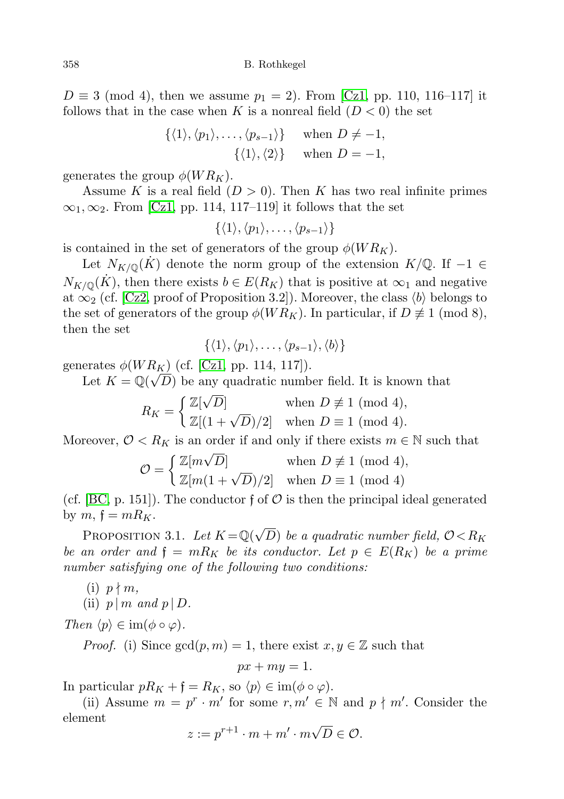$D \equiv 3 \pmod{4}$ , then we assume  $p_1 = 2$ . From [\[Cz1,](#page-34-6) pp. 110, 116–117] it follows that in the case when K is a nonreal field  $(D < 0)$  the set

$$
\{\langle 1 \rangle, \langle p_1 \rangle, \dots, \langle p_{s-1} \rangle\} \quad \text{when } D \neq -1,
$$
  

$$
\{\langle 1 \rangle, \langle 2 \rangle\} \quad \text{when } D = -1,
$$

generates the group  $\phi(W R_K)$ .

Assume K is a real field  $(D > 0)$ . Then K has two real infinite primes  $\infty_1, \infty_2$ . From [\[Cz1,](#page-34-6) pp. 114, 117–119] it follows that the set

 $\{\langle 1 \rangle, \langle p_1 \rangle, \ldots, \langle p_{s-1} \rangle\}$ 

is contained in the set of generators of the group  $\phi(W R_K)$ .

Let  $N_{K/\mathbb{Q}}(K)$  denote the norm group of the extension  $K/\mathbb{Q}$ . If  $-1 \in$  $N_{K/\mathbb{Q}}(K)$ , then there exists  $b \in E(R_K)$  that is positive at  $\infty_1$  and negative at  $\infty_2$  (cf. [\[Cz2,](#page-34-7) proof of Proposition 3.2]). Moreover, the class  $\langle b \rangle$  belongs to the set of generators of the group  $\phi(W R_K)$ . In particular, if  $D \not\equiv 1 \pmod{8}$ , then the set

$$
\{\langle 1 \rangle, \langle p_1 \rangle, \ldots, \langle p_{s-1} \rangle, \langle b \rangle\}
$$

generates  $\phi(W R_K)$  (cf. [\[Cz1,](#page-34-6) pp. 114, 117]).

Let  $K = \mathbb{Q}(\sqrt{D})$  be any quadratic number field. It is known that

$$
R_K = \begin{cases} \mathbb{Z}[\sqrt{D}] & \text{when } D \not\equiv 1 \pmod{4}, \\ \mathbb{Z}[(1+\sqrt{D})/2] & \text{when } D \equiv 1 \pmod{4}. \end{cases}
$$

Moreover,  $\mathcal{O} < R_K$  is an order if and only if there exists  $m \in \mathbb{N}$  such that

$$
\mathcal{O} = \begin{cases} \mathbb{Z}[m\sqrt{D}] & \text{when } D \not\equiv 1 \pmod{4}, \\ \mathbb{Z}[m(1+\sqrt{D})/2] & \text{when } D \equiv 1 \pmod{4} \end{cases}
$$

(cf. [\[BC,](#page-34-8) p. 151]). The conductor f of  $\mathcal O$  is then the principal ideal generated by  $m, \, \mathfrak{f} = mR_K$ .

<span id="page-9-0"></span>PROPOSITION 3.1. Let  $K = \mathbb{Q}(\sqrt{2})$  $(D)$  be a quadratic number field,  $\mathcal{O} \! < \! R_K$ be an order and  $\mathfrak{f} = mR_K$  be its conductor. Let  $p \in E(R_K)$  be a prime number satisfying one of the following two conditions:

 $(i)$   $p \nmid m$ ,

(ii)  $p \mid m \text{ and } p \mid D$ .

Then  $\langle p \rangle \in \text{im}(\phi \circ \varphi)$ .

*Proof.* (i) Since  $gcd(p, m) = 1$ , there exist  $x, y \in \mathbb{Z}$  such that

$$
px+my=1.
$$

In particular  $pR_K + \mathfrak{f} = R_K$ , so  $\langle p \rangle \in \text{im}(\phi \circ \varphi)$ .

(ii) Assume  $m = p^r \cdot m'$  for some  $r, m' \in \mathbb{N}$  and  $p \nmid m'$ . Consider the element √

$$
z := p^{r+1} \cdot m + m' \cdot m \sqrt{D} \in \mathcal{O}.
$$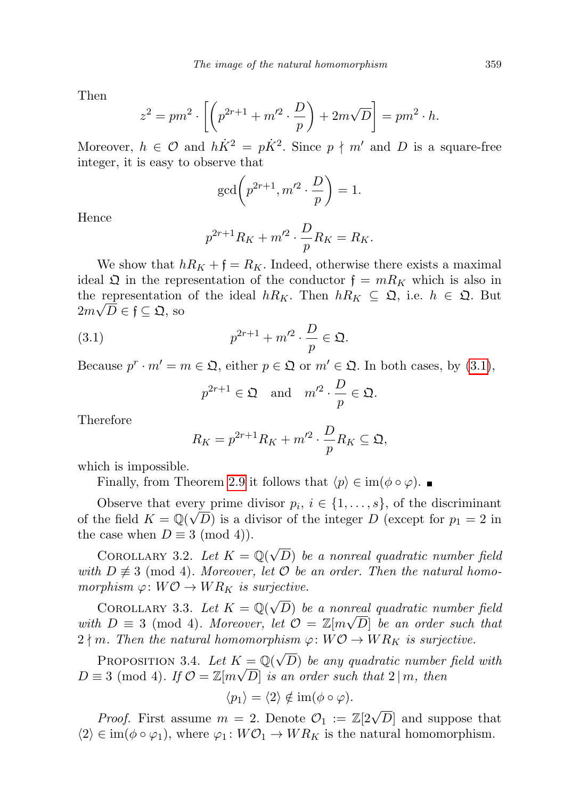Then

$$
z^{2} = pm^{2} \cdot \left[ \left( p^{2r+1} + m'^{2} \cdot \frac{D}{p} \right) + 2m\sqrt{D} \right] = pm^{2} \cdot h.
$$

Moreover,  $h \in \mathcal{O}$  and  $h\dot{K}^2 = p\dot{K}^2$ . Since  $p \nmid m'$  and D is a square-free integer, it is easy to observe that

$$
\gcd\left(p^{2r+1}, m'^2 \cdot \frac{D}{p}\right) = 1.
$$

Hence

$$
p^{2r+1}R_K + m'^2 \cdot \frac{D}{p}R_K = R_K.
$$

We show that  $hR_K + \mathfrak{f} = R_K$ . Indeed, otherwise there exists a maximal ideal  $\mathfrak Q$  in the representation of the conductor  $\mathfrak f = mR_K$  which is also in the representation of the ideal  $hR_K$ . Then  $hR_K \subseteq \mathfrak{Q}$ , i.e.  $h \in \mathfrak{Q}$ . But  $2m\sqrt{D} \in \mathfrak{f} \subseteq \mathfrak{Q}, \,\text{so}$ 

<span id="page-10-0"></span>
$$
(3.1) \t\t\t p^{2r+1} + m'^2 \cdot \frac{D}{p} \in \mathfrak{Q}.
$$

Because  $p^r \cdot m' = m \in \mathfrak{Q}$ , either  $p \in \mathfrak{Q}$  or  $m' \in \mathfrak{Q}$ . In both cases, by [\(3.1\)](#page-10-0),

$$
p^{2r+1} \in \mathfrak{Q}
$$
 and  $m'^2 \cdot \frac{D}{p} \in \mathfrak{Q}$ .

Therefore

$$
R_K = p^{2r+1}R_K + m'^2 \cdot \frac{D}{p}R_K \subseteq \mathfrak{Q},
$$

which is impossible.

Finally, from Theorem [2.9](#page-7-3) it follows that  $\langle p \rangle \in \text{im}(\phi \circ \varphi)$ . ■

Observe that every prime divisor  $p_i, i \in \{1, \ldots, s\}$ , of the discriminant of the field  $K = \mathbb{Q}(\sqrt{D})$  is a divisor of the integer  $D$  (except for  $p_1 = 2$  in the case when  $D \equiv 3 \pmod{4}$ .

COROLLARY 3.2. Let  $K = \mathbb{Q}(\sqrt{2})$ D) be a nonreal quadratic number field with  $D \not\equiv 3 \pmod{4}$ . Moreover, let  $\mathcal O$  be an order. Then the natural homomorphism  $\varphi: W\mathcal{O} \to WR_K$  is surjective.

COROLLARY 3.3. Let  $K = \mathbb{Q}(\sqrt{2})$ D) be a nonreal quadratic number field with  $D \equiv 3 \pmod{4}$ . Moreover, let  $\mathcal{O} = \mathbb{Z}[m\sqrt{D}]$  be an order such that  $2 \nmid m$ . Then the natural homomorphism  $\varphi: W\mathcal{O} \to WR_K$  is surjective.

<span id="page-10-1"></span>PROPOSITION 3.4. Let  $K = \mathbb{Q}(\sqrt{2})$  $X = \mathbb{Q}(\sqrt{D})$  be any quadratic number field with  $D \equiv 3 \pmod{4}$ . If  $\mathcal{O} = \mathbb{Z}[m\sqrt{D}]$  is an order such that  $2 \mid m$ , then

$$
\langle p_1 \rangle = \langle 2 \rangle \notin \operatorname{im}(\phi \circ \varphi).
$$

*Proof.* First assume  $m = 2$ . Denote  $\mathcal{O}_1 := \mathbb{Z}[2\sqrt{D}]$  and suppose that  $\langle 2 \rangle \in \text{im}(\phi \circ \varphi_1)$ , where  $\varphi_1 : W\mathcal{O}_1 \to WR_K$  is the natural homomorphism.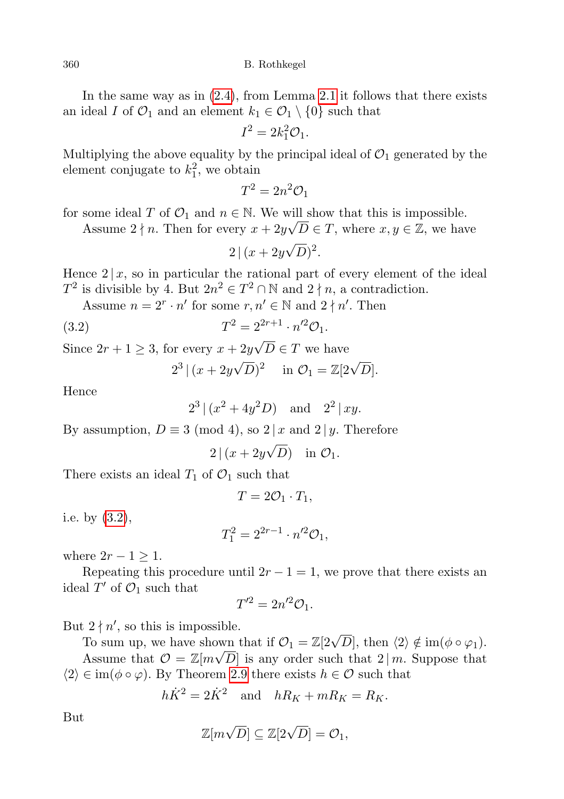In the same way as in [\(2.4\)](#page-7-2), from Lemma [2.1](#page-2-1) it follows that there exists an ideal I of  $\mathcal{O}_1$  and an element  $k_1 \in \mathcal{O}_1 \setminus \{0\}$  such that

$$
I^2 = 2k_1^2 \mathcal{O}_1.
$$

Multiplying the above equality by the principal ideal of  $\mathcal{O}_1$  generated by the element conjugate to  $k_1^2$ , we obtain

$$
T^2 = 2n^2 \mathcal{O}_1
$$

for some ideal T of  $\mathcal{O}_1$  and  $n \in \mathbb{N}$ . We will show that this is impossible.

Assume  $2 \nmid n$ . Then for every  $x + 2y\sqrt{D} \in T$ , where  $x, y \in \mathbb{Z}$ , we have

$$
2|(x+2y\sqrt{D})^2.
$$

Hence  $2 | x$ , so in particular the rational part of every element of the ideal  $T^2$  is divisible by 4. But  $2n^2 \in T^2 \cap \mathbb{N}$  and  $2 \nmid n$ , a contradiction.

Assume  $n = 2^r \cdot n'$  for some  $r, n' \in \mathbb{N}$  and  $2 \nmid n'$ . Then

(3.2) 
$$
T^2 = 2^{2r+1} \cdot n'^2 \mathcal{O}_1.
$$

Since  $2r + 1 \geq 3$ , for every  $x + 2y$  $D \in T$  we have

$$
2^3 | (x + 2y\sqrt{D})^2
$$
 in  $\mathcal{O}_1 = \mathbb{Z}[2\sqrt{D}].$ 

Hence

$$
2^3 | (x^2 + 4y^2D)
$$
 and  $2^2 | xy$ .

By assumption,  $D \equiv 3 \pmod{4}$ , so  $2 | x$  and  $2 | y$ . Therefore

$$
2|(x+2y\sqrt{D}) \text{ in } \mathcal{O}_1.
$$

There exists an ideal  $T_1$  of  $\mathcal{O}_1$  such that

 $T = 2\mathcal{O}_1 \cdot T_1$ ,

i.e. by [\(3.2\)](#page-10-1),

$$
T_1^2 = 2^{2r-1} \cdot n'^2 \mathcal{O}_1,
$$

where  $2r - 1 \geq 1$ .

Repeating this procedure until  $2r - 1 = 1$ , we prove that there exists an ideal  $T'$  of  $\mathcal{O}_1$  such that

$$
T'^2 = 2n'^2 \mathcal{O}_1.
$$

But  $2 \nmid n'$ , so this is impossible.

To sum up, we have shown that if  $\mathcal{O}_1 = \mathbb{Z}[2\sqrt{D}]$ , then  $\langle 2 \rangle \notin \text{im}(\phi \circ \varphi_1)$ .

Assume that  $\mathcal{O} = \mathbb{Z}[m\sqrt{D}]$  is any order such that  $2 \mid m$ . Suppose that  $\langle 2 \rangle \in \text{im}(\phi \circ \varphi)$ . By Theorem [2.9](#page-7-3) there exists  $h \in \mathcal{O}$  such that

$$
h\dot{K}^2 = 2\dot{K}^2 \quad \text{and} \quad hR_K + mR_K = R_K.
$$

But

$$
\mathbb{Z}[m\sqrt{D}] \subseteq \mathbb{Z}[2\sqrt{D}] = \mathcal{O}_1,
$$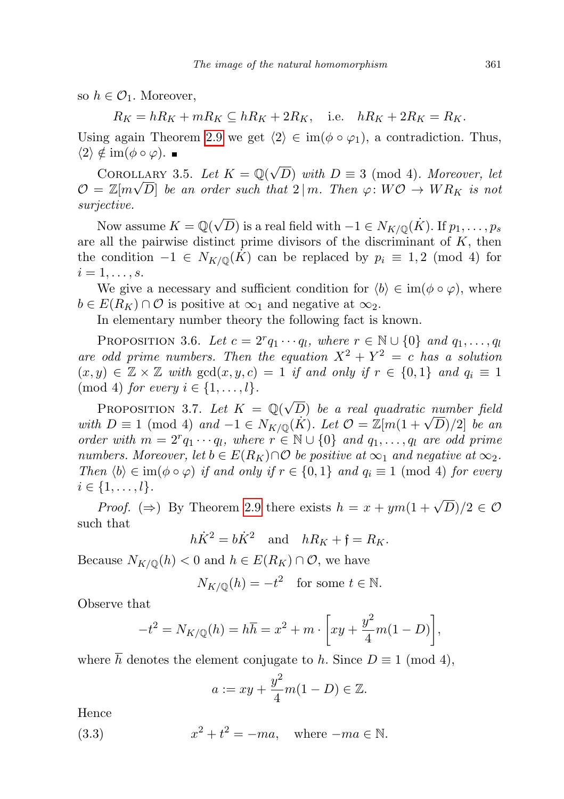so  $h \in \mathcal{O}_1$ . Moreover,

 $R_K = hR_K + mR_K \subseteq hR_K + 2R_K$ , i.e.  $hR_K + 2R_K = R_K$ .

Using again Theorem [2.9](#page-7-3) we get  $\langle 2 \rangle \in \text{im}(\phi \circ \varphi_1)$ , a contradiction. Thus,  $\langle 2 \rangle \notin \text{im}(\phi \circ \varphi)$ . ■

COROLLARY 3.5. Let  $K = \mathbb{Q}(\sqrt{2})$ LLARY 3.5. Let  $K = \mathbb{Q}(\sqrt{D})$  with  $D \equiv 3 \pmod{4}$ . Moreover, let  $\mathcal{O} = \mathbb{Z}[m\sqrt{D}]$  be an order such that  $2 \mid m$ . Then  $\varphi \colon W\mathcal{O} \to WR_K$  is not surjective.

Now assume  $K = \mathbb{Q}(\sqrt{D})$  is a real field with  $-1 \in N_{K/\mathbb{Q}}(K)$ . If  $p_1, \ldots, p_s$ are all the pairwise distinct prime divisors of the discriminant of  $K$ , then the condition  $-1 \in N_{K/\mathbb{Q}}(K)$  can be replaced by  $p_i \equiv 1, 2 \pmod{4}$  for  $i=1,\ldots,s.$ 

We give a necessary and sufficient condition for  $\langle b \rangle \in \text{im}(\phi \circ \varphi)$ , where  $b \in E(R_K) \cap \mathcal{O}$  is positive at  $\infty_1$  and negative at  $\infty_2$ .

In elementary number theory the following fact is known.

<span id="page-12-1"></span>PROPOSITION 3.6. Let  $c = 2^r q_1 \cdots q_l$ , where  $r \in \mathbb{N} \cup \{0\}$  and  $q_1, \ldots, q_l$ are odd prime numbers. Then the equation  $X^2 + Y^2 = c$  has a solution  $(x, y) \in \mathbb{Z} \times \mathbb{Z}$  with  $gcd(x, y, c) = 1$  if and only if  $r \in \{0, 1\}$  and  $q_i \equiv 1$ (mod 4) for every  $i \in \{1, \ldots, l\}$ .

<span id="page-12-0"></span>PROPOSITION 3.7. Let  $K = \mathbb{Q}(\sqrt{2})$ D) be a real quadratic number field PROPOSITION 3.1. Let  $K = \mathbb{Q}(\sqrt{D})$  be a real quadratic number jield<br>with  $D \equiv 1 \pmod{4}$  and  $-1 \in N_{K/\mathbb{Q}}(K)$ . Let  $\mathcal{O} = \mathbb{Z}[m(1+\sqrt{D})/2]$  be an order with  $m = 2^r q_1 \cdots q_l$ , where  $r \in \mathbb{N} \cup \{0\}$  and  $q_1, \ldots, q_l$  are odd prime numbers. Moreover, let  $b \in E(R_K) \cap \mathcal{O}$  be positive at  $\infty_1$  and negative at  $\infty_2$ . Then  $\langle b \rangle \in \text{im}(\phi \circ \varphi)$  if and only if  $r \in \{0,1\}$  and  $q_i \equiv 1 \pmod{4}$  for every  $i \in \{1, \ldots, l\}.$ 

*Proof.* ( $\Rightarrow$ ) By Theorem [2.9](#page-7-3) there exists  $h = x + ym(1 + \sqrt{D})/2 \in \mathcal{O}$ such that

$$
h\dot{K}^2 = b\dot{K}^2
$$
 and  $hR_K + \mathfrak{f} = R_K$ .

Because  $N_{K/\mathbb{Q}}(h) < 0$  and  $h \in E(R_K) \cap \mathcal{O}$ , we have

$$
N_{K/\mathbb{Q}}(h) = -t^2 \quad \text{for some } t \in \mathbb{N}.
$$

Observe that

$$
-t^{2} = N_{K/\mathbb{Q}}(h) = h\overline{h} = x^{2} + m \cdot \left[ xy + \frac{y^{2}}{4}m(1 - D) \right],
$$

where  $\bar{h}$  denotes the element conjugate to h. Since  $D \equiv 1 \pmod{4}$ ,

$$
a := xy + \frac{y^2}{4}m(1 - D) \in \mathbb{Z}.
$$

Hence

(3.3) 
$$
x^2 + t^2 = -ma, \text{ where } -ma \in \mathbb{N}.
$$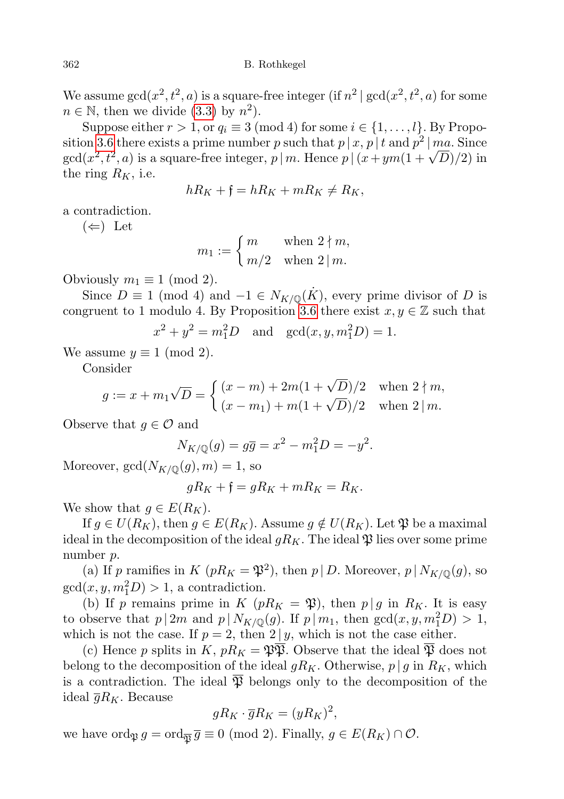We assume  $gcd(x^2, t^2, a)$  is a square-free integer (if  $n^2 | gcd(x^2, t^2, a)$  for some  $n \in \mathbb{N}$ , then we divide [\(3.3\)](#page-12-0) by  $n^2$ ).

Suppose either  $r > 1$ , or  $q_i \equiv 3 \pmod{4}$  for some  $i \in \{1, \ldots, l\}$ . By Propo-sition [3.6](#page-12-1) there exists a prime number p such that  $p | x, p | t$  and  $p^2 | ma$ . Since sition 3.6 there exists a prime number p such that  $p | x, p | t$  and  $p^2 | ma$ . Since  $gcd(x^2, t^2, a)$  is a square-free integer,  $p | m$ . Hence  $p | (x + ym(1 + \sqrt{D})/2)$  in the ring  $R_K$ , i.e.

$$
hR_K + \mathfrak{f} = hR_K + mR_K \neq R_K,
$$

a contradiction.

 $(\Leftarrow)$  Let

$$
m_1 := \begin{cases} m & \text{when } 2 \nmid m, \\ m/2 & \text{when } 2 \mid m. \end{cases}
$$

Obviously  $m_1 \equiv 1 \pmod{2}$ .

Since  $D \equiv 1 \pmod{4}$  and  $-1 \in N_{K/\mathbb{Q}}(K)$ , every prime divisor of D is congruent to 1 modulo 4. By Proposition [3.6](#page-12-1) there exist  $x, y \in \mathbb{Z}$  such that

$$
x^2 + y^2 = m_1^2 D
$$
 and  $gcd(x, y, m_1^2 D) = 1$ .

We assume  $y \equiv 1 \pmod{2}$ .

Consider

$$
g := x + m_1 \sqrt{D} = \begin{cases} (x - m) + 2m(1 + \sqrt{D})/2 & \text{when } 2 \nmid m, \\ (x - m_1) + m(1 + \sqrt{D})/2 & \text{when } 2 \mid m. \end{cases}
$$

Observe that  $g \in \mathcal{O}$  and

$$
N_{K/\mathbb{Q}}(g) = g\overline{g} = x^2 - m_1^2 D = -y^2.
$$

Moreover,  $gcd(N_{K/\mathbb{Q}}(g), m) = 1$ , so

$$
gR_K + \mathfrak{f} = gR_K + mR_K = R_K.
$$

We show that  $g \in E(R_K)$ .

If  $g \in U(R_K)$ , then  $g \in E(R_K)$ . Assume  $g \notin U(R_K)$ . Let  $\mathfrak{P}$  be a maximal ideal in the decomposition of the ideal  $gR_K$ . The ideal  $\mathfrak P$  lies over some prime number p.

(a) If p ramifies in K  $(pR_K = \mathfrak{P}^2)$ , then p | D. Moreover, p |  $N_{K/\mathbb{Q}}(g)$ , so  $gcd(x, y, m_1^2D) > 1$ , a contradiction.

(b) If p remains prime in K ( $pR_K = \mathfrak{P}$ ), then  $p | g$  in  $R_K$ . It is easy to observe that  $p \mid 2m$  and  $p \mid N_{K/\mathbb{Q}}(g)$ . If  $p \mid m_1$ , then  $gcd(x, y, m_1^2D) > 1$ , which is not the case. If  $p = 2$ , then  $2 | y$ , which is not the case either.

(c) Hence p splits in K,  $pR_K = \mathfrak{P}\overline{\mathfrak{P}}$ . Observe that the ideal  $\overline{\mathfrak{P}}$  does not belong to the decomposition of the ideal  $gR_K$ . Otherwise,  $p \mid g$  in  $R_K$ , which is a contradiction. The ideal  $\overline{\mathfrak{P}}$  belongs only to the decomposition of the ideal  $\overline{g}R_K$ . Because

$$
gR_K \cdot \overline{g}R_K = (yR_K)^2,
$$

we have ord $\mathfrak{g} = \text{ord}_{\overline{\mathfrak{P}}} \overline{g} \equiv 0 \pmod{2}$ . Finally,  $g \in E(R_K) \cap \mathcal{O}$ .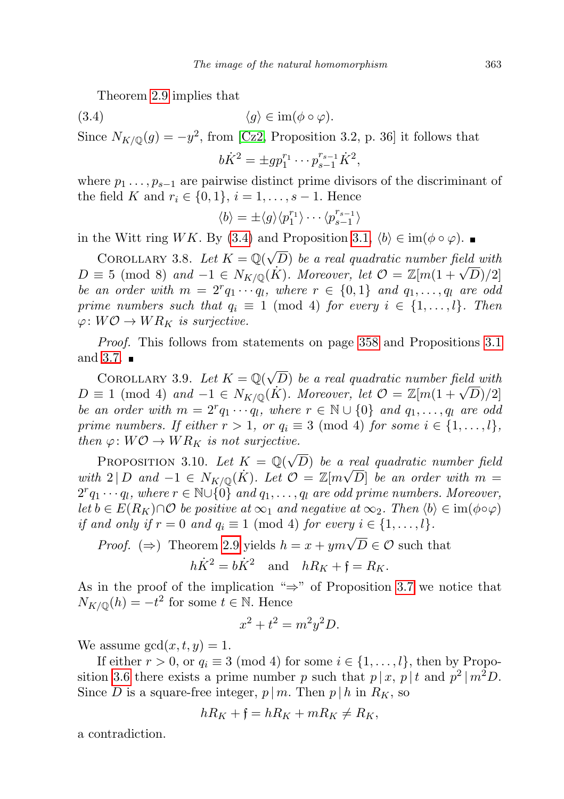Theorem [2.9](#page-7-3) implies that

$$
(3.4) \t\t \langle g \rangle \in \operatorname{im}(\phi \circ \varphi).
$$

Since  $N_{K/\mathbb{Q}}(g) = -y^2$ , from [\[Cz2,](#page-34-7) Proposition 3.2, p. 36] it follows that

$$
b\dot{K}^2 = \pm gp_1^{r_1} \cdots p_{s-1}^{r_{s-1}} \dot{K}^2,
$$

where  $p_1 \ldots, p_{s-1}$  are pairwise distinct prime divisors of the discriminant of the field K and  $r_i \in \{0, 1\}, i = 1, ..., s - 1$ . Hence

$$
\langle b \rangle = \pm \langle g \rangle \langle p_1^{r_1} \rangle \cdots \langle p_{s-1}^{r_{s-1}} \rangle
$$

in the Witt ring WK. By [\(3.4\)](#page-12-0) and Proposition [3.1,](#page-9-0)  $\langle b \rangle \in \text{im}(\phi \circ \varphi)$ . ■

<span id="page-14-1"></span>COROLLARY 3.8. Let  $K = \mathbb{Q}(\sqrt{\frac{1}{\sqrt{2}}})$ D) be a real quadratic number field with COROLLARY 3.8. Let  $K = \mathbb{Q}(\sqrt{D})$  be a real quadratic number field with  $D \equiv 5 \pmod{8}$  and  $-1 \in N_{K/\mathbb{Q}}(K)$ . Moreover, let  $\mathcal{O} = \mathbb{Z}[m(1+\sqrt{D})/2]$ be an order with  $m = 2^r q_1 \cdots q_l$ , where  $r \in \{0,1\}$  and  $q_1, \ldots, q_l$  are odd prime numbers such that  $q_i \equiv 1 \pmod{4}$  for every  $i \in \{1, \ldots, l\}$ . Then  $\varphi\colon W\mathcal{O}\to WR_K$  is surjective.

Proof. This follows from statements on page [358](#page-8-0) and Propositions [3.1](#page-9-0) and [3.7.](#page-12-0)  $\blacksquare$ 

<span id="page-14-2"></span>COROLLARY 3.9. Let  $K = \mathbb{Q}(\sqrt{2})$ D) be a real quadratic number field with COROLLARY 3.9. Let  $\Lambda = \mathbb{Q}(\sqrt{D})$  be a real quadratic number jield with  $D \equiv 1 \pmod{4}$  and  $-1 \in N_{K/\mathbb{Q}}(K)$ . Moreover, let  $\mathcal{O} = \mathbb{Z}[m(1+\sqrt{D})/2]$ be an order with  $m = 2^r q_1 \cdots q_l$ , where  $r \in \mathbb{N} \cup \{0\}$  and  $q_1, \ldots, q_l$  are odd prime numbers. If either  $r > 1$ , or  $q_i \equiv 3 \pmod{4}$  for some  $i \in \{1, \ldots, l\}$ , then  $\varphi: W\mathcal{O} \to WR_K$  is not surjective.

<span id="page-14-0"></span>PROPOSITION 3.10. Let  $K = \mathbb{Q}(\sqrt{2})$ D) be a real quadratic number field with  $2|D$  and  $-1 \in N_{K/\mathbb{Q}}(K)$ . Let  $\mathcal{O} = \mathbb{Z}[m\sqrt{D}]$  be an order with  $m =$  $2^r q_1 \cdots q_l$ , where  $r \in \mathbb{N} \cup \{0\}$  and  $q_1, \ldots, q_l$  are odd prime numbers. Moreover, let  $b \in E(R_K) \cap \mathcal{O}$  be positive at  $\infty_1$  and negative at  $\infty_2$ . Then  $\langle b \rangle \in \text{im}(\phi \circ \varphi)$ if and only if  $r = 0$  and  $q_i \equiv 1 \pmod{4}$  for every  $i \in \{1, \ldots, l\}$ .

Proof. ( $\Rightarrow$ ) Theorem [2.9](#page-7-3) yields  $h = x + ym\sqrt{D} \in \mathcal{O}$  such that

$$
h\dot{K}^2 = b\dot{K}^2
$$
 and  $hR_K + \mathfrak{f} = R_K$ .

As in the proof of the implication " $\Rightarrow$ " of Proposition [3.7](#page-12-0) we notice that  $N_{K/\mathbb{Q}}(h) = -t^2$  for some  $t \in \mathbb{N}$ . Hence

$$
x^2 + t^2 = m^2 y^2 D.
$$

We assume  $gcd(x, t, y) = 1$ .

If either  $r > 0$ , or  $q_i \equiv 3 \pmod{4}$  for some  $i \in \{1, ..., l\}$ , then by Propo-sition [3.6](#page-12-1) there exists a prime number p such that  $p | x, p | t$  and  $p^2 | m^2 D$ . Since D is a square-free integer,  $p | m$ . Then  $p | h$  in  $R<sub>K</sub>$ , so

$$
hR_K + \mathfrak{f} = hR_K + mR_K \neq R_K,
$$

a contradiction.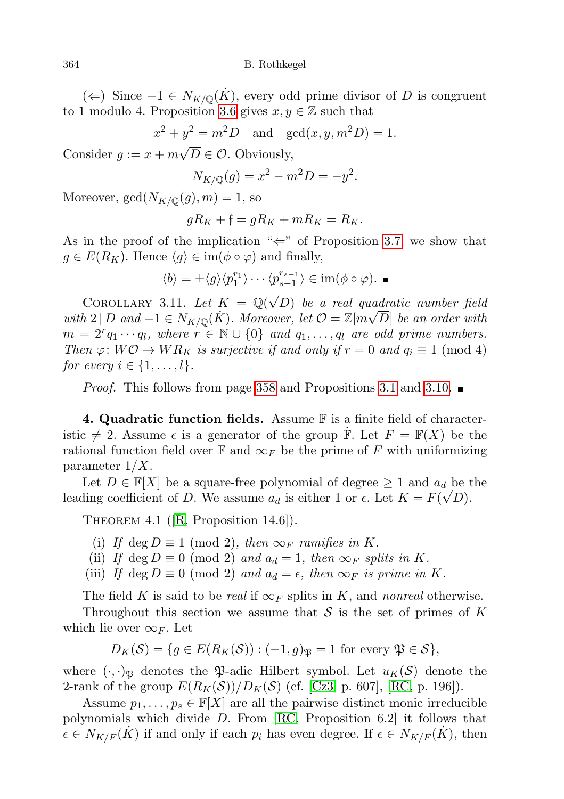(←) Since  $-1 \in N_{K/\mathbb{Q}}(K)$ , every odd prime divisor of D is congruent to 1 modulo 4. Proposition [3.6](#page-12-1) gives  $x, y \in \mathbb{Z}$  such that

> $x^2 + y^2 = m^2D$  and  $gcd(x, y, m^2D) = 1$ . √

Consider  $g := x + m$  $D \in \mathcal{O}$ . Obviously,

$$
N_{K/\mathbb{Q}}(g) = x^2 - m^2 D = -y^2.
$$

Moreover,  $gcd(N_{K/\mathbb{Q}}(g), m) = 1$ , so

$$
gR_K + \mathfrak{f} = gR_K + mR_K = R_K.
$$

As in the proof of the implication " $\Leftarrow$ " of Proposition [3.7,](#page-12-0) we show that  $g \in E(R_K)$ . Hence  $\langle g \rangle \in \text{im}(\phi \circ \varphi)$  and finally,

$$
\langle b \rangle = \pm \langle g \rangle \langle p_1^{r_1} \rangle \cdots \langle p_{s-1}^{r_{s-1}} \rangle \in \text{im}(\phi \circ \varphi). \blacksquare
$$

COROLLARY 3.11. Let  $K = \mathbb{Q}(\sqrt{2})$ D) be a real quadratic number field with  $2 | D \text{ and } -1 \in N_{K/\mathbb{Q}}(\dot{K})$ . Moreover, let  $\mathcal{O} = \mathbb{Z}[m\sqrt{D}]$  be an order with  $m = 2^r q_1 \cdots q_l$ , where  $r \in \mathbb{N} \cup \{0\}$  and  $q_1, \ldots, q_l$  are odd prime numbers. Then  $\varphi: W\mathcal{O} \to WR_K$  is surjective if and only if  $r = 0$  and  $q_i \equiv 1 \pmod{4}$ for every  $i \in \{1, \ldots, l\}$ .

*Proof.* This follows from page [358](#page-8-0) and Propositions [3.1](#page-9-0) and [3.10.](#page-14-0)

<span id="page-15-0"></span>4. Quadratic function fields. Assume  $\mathbb F$  is a finite field of characteristic  $\neq 2$ . Assume  $\epsilon$  is a generator of the group  $\dot{\mathbb{F}}$ . Let  $F = \mathbb{F}(X)$  be the rational function field over  $\mathbb F$  and  $\infty_F$  be the prime of F with uniformizing parameter  $1/X$ .

Let  $D \in \mathbb{F}[X]$  be a square-free polynomial of degree  $\geq 1$  and  $a_d$  be the leading coefficient of D. We assume  $a_d$  is either 1 or  $\epsilon$ . Let  $K = F(\sqrt{D})$ .

THEOREM 4.1 ( $[R,$  Proposition 14.6]).

- (i) If deg  $D \equiv 1 \pmod{2}$ , then  $\infty_F$  ramifies in K.
- (ii) If deg  $D \equiv 0 \pmod{2}$  and  $a_d = 1$ , then  $\infty_F$  splits in K.
- <span id="page-15-1"></span>(iii) If deg  $D \equiv 0 \pmod{2}$  and  $a_d = \epsilon$ , then  $\infty_F$  is prime in K.

The field K is said to be real if  $\infty_F$  splits in K, and nonreal otherwise.

Throughout this section we assume that  $S$  is the set of primes of K which lie over  $\infty_F$ . Let

$$
D_K(\mathcal{S}) = \{ g \in E(R_K(\mathcal{S})) : (-1, g)_{\mathfrak{P}} = 1 \text{ for every } \mathfrak{P} \in \mathcal{S} \},
$$

where  $(\cdot, \cdot)_{\mathfrak{B}}$  denotes the  $\mathfrak{P}\text{-}\mathfrak{a}$ -dic Hilbert symbol. Let  $u_K(\mathcal{S})$  denote the 2-rank of the group  $E(R_K(\mathcal{S}))/D_K(\mathcal{S})$  (cf. [\[Cz3,](#page-34-3) p. 607], [\[RC,](#page-35-4) p. 196]).

Assume  $p_1, \ldots, p_s \in \mathbb{F}[X]$  are all the pairwise distinct monic irreducible polynomials which divide D. From [\[RC,](#page-35-4) Proposition 6.2] it follows that  $\epsilon \in N_{K/F}(\dot{K})$  if and only if each  $p_i$  has even degree. If  $\epsilon \in N_{K/F}(K)$ , then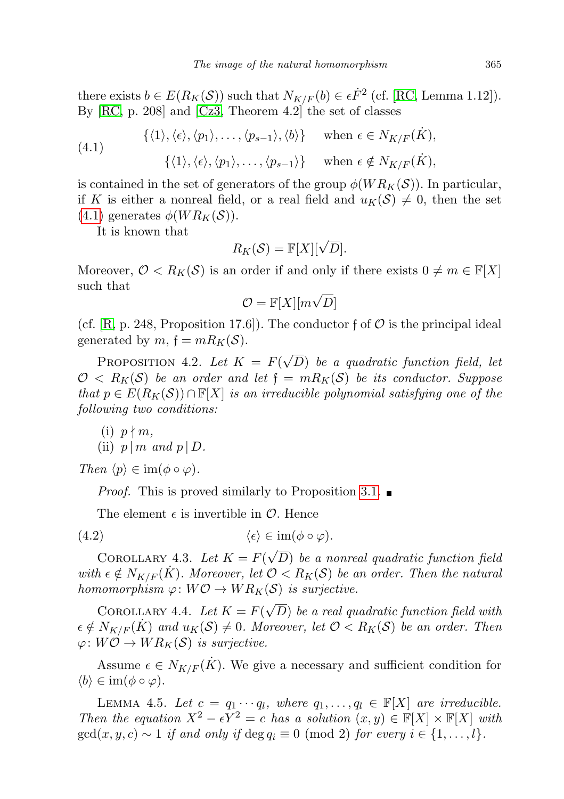there exists  $b \in E(R_K(\mathcal{S}))$  such that  $N_{K/F}(b) \in \epsilon \dot{F}^2$  (cf. [\[RC,](#page-35-4) Lemma 1.12]). By [\[RC,](#page-35-4) p. 208] and [\[Cz3,](#page-34-3) Theorem 4.2] the set of classes

<span id="page-16-0"></span>(4.1) 
$$
\{\langle 1 \rangle, \langle \epsilon \rangle, \langle p_1 \rangle, \dots, \langle p_{s-1} \rangle, \langle b \rangle\} \text{ when } \epsilon \in N_{K/F}(\dot{K}),
$$

$$
\{\langle 1 \rangle, \langle \epsilon \rangle, \langle p_1 \rangle, \dots, \langle p_{s-1} \rangle\} \text{ when } \epsilon \notin N_{K/F}(\dot{K}),
$$

is contained in the set of generators of the group  $\phi(W R_K(\mathcal{S}))$ . In particular, if K is either a nonreal field, or a real field and  $u_K(\mathcal{S}) \neq 0$ , then the set  $(4.1)$  generates  $\phi(W R_K(\mathcal{S}))$ .

It is known that

$$
R_K(\mathcal{S}) = \mathbb{F}[X][\sqrt{D}].
$$

Moreover,  $\mathcal{O} < R_K(\mathcal{S})$  is an order if and only if there exists  $0 \neq m \in \mathbb{F}[X]$ such that √

$$
\mathcal{O} = \mathbb{F}[X][m\sqrt{D}]
$$

(cf.  $[R, p. 248, Proposition 17.6]$  $[R, p. 248, Proposition 17.6]$ ). The conductor f of  $\mathcal O$  is the principal ideal generated by  $m, \, \mathfrak{f} = m R_K(\mathcal{S}).$ 

<span id="page-16-3"></span>PROPOSITION 4.2. Let  $K = F(\sqrt{\sqrt{2}})$ D) be a quadratic function field, let  $\mathcal{O} < R_K(\mathcal{S})$  be an order and let  $\mathfrak{f} = mR_K(\mathcal{S})$  be its conductor. Suppose that  $p \in E(R_K(\mathcal{S})) \cap \mathbb{F}[X]$  is an irreducible polynomial satisfying one of the following two conditions:

(i) 
$$
p \nmid m
$$
,  
(ii)  $p \mid m$  and  $p \mid D$ .

<span id="page-16-2"></span>Then  $\langle p \rangle \in \text{im}(\phi \circ \varphi)$ .

*Proof.* This is proved similarly to Proposition [3.1.](#page-9-0)  $\blacksquare$ 

The element  $\epsilon$  is invertible in  $\mathcal{O}$ . Hence

$$
(4.2) \qquad \qquad \langle \epsilon \rangle \in \operatorname{im}(\phi \circ \varphi).
$$

COROLLARY 4.3. Let  $K = F(\sqrt{\frac{F(\lambda)}{F(\lambda)}})$ D) be a nonreal quadratic function field with  $\epsilon \notin N_{K/F}(K)$ . Moreover, let  $\mathcal{O} < R_K(\mathcal{S})$  be an order. Then the natural homomorphism  $\varphi: W\mathcal{O} \to WR_K(\mathcal{S})$  is surjective.

<span id="page-16-4"></span>COROLLARY 4.4. Let  $K = F(\sqrt{\sqrt{2}})$ D) be a real quadratic function field with  $\epsilon \notin N_{K/F}(\hat{K})$  and  $u_K(\mathcal{S}) \neq 0$ . Moreover, let  $\mathcal{O} < R_K(\mathcal{S})$  be an order. Then  $\varphi \colon W\mathcal{O} \to WR_K(\mathcal{S})$  is surjective.

Assume  $\epsilon \in N_{K/F}(\dot{K})$ . We give a necessary and sufficient condition for  $\langle b \rangle \in \text{im}(\phi \circ \varphi).$ 

<span id="page-16-1"></span>LEMMA 4.5. Let  $c = q_1 \cdots q_l$ , where  $q_1, \ldots, q_l \in \mathbb{F}[X]$  are irreducible. Then the equation  $X^2 - \epsilon Y^2 = c$  has a solution  $(x, y) \in \mathbb{F}[X] \times \mathbb{F}[X]$  with  $gcd(x, y, c) \sim 1$  if and only if  $deg q_i \equiv 0 \pmod{2}$  for every  $i \in \{1, \ldots, l\}.$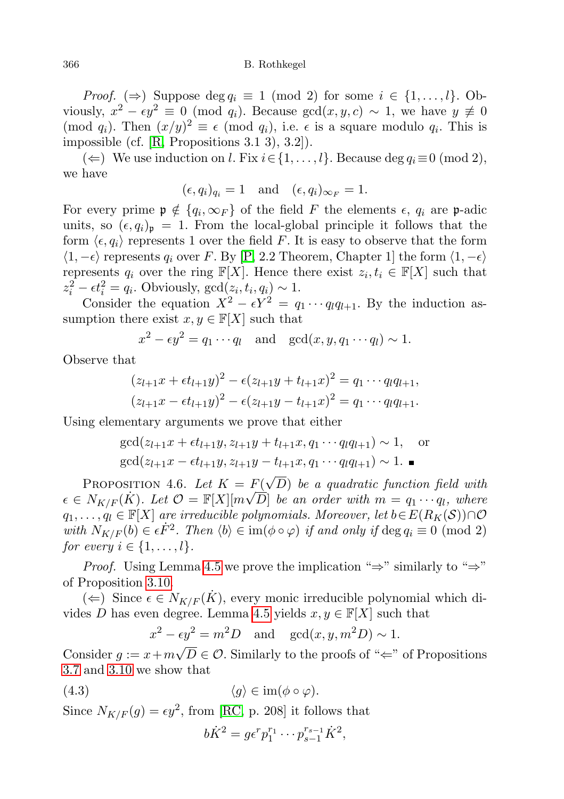*Proof.* ( $\Rightarrow$ ) Suppose deg  $q_i \equiv 1 \pmod{2}$  for some  $i \in \{1, ..., l\}$ . Obviously,  $x^2 - \epsilon y^2 \equiv 0 \pmod{q_i}$ . Because  $gcd(x, y, c) \sim 1$ , we have  $y \not\equiv 0$ (mod  $q_i$ ). Then  $(x/y)^2 \equiv \epsilon \pmod{q_i}$ , i.e.  $\epsilon$  is a square modulo  $q_i$ . This is impossible (cf. [\[R,](#page-35-3) Propositions 3.1 3), 3.2]).

(←) We use induction on *l*. Fix  $i \in \{1, ..., l\}$ . Because deg  $q_i \equiv 0 \pmod{2}$ , we have

$$
(\epsilon, q_i)_{q_i} = 1
$$
 and  $(\epsilon, q_i)_{\infty_F} = 1$ .

For every prime  $\mathfrak{p} \notin \{q_i, \infty_F\}$  of the field F the elements  $\epsilon, q_i$  are p-adic units, so  $(\epsilon, q_i)_{\mathfrak{p}} = 1$ . From the local-global principle it follows that the form  $\langle \epsilon, q_i \rangle$  represents 1 over the field F. It is easy to observe that the form  $\langle 1, -\epsilon \rangle$  represents  $q_i$  over F. By [\[P,](#page-35-5) 2.2 Theorem, Chapter 1] the form  $\langle 1, -\epsilon \rangle$ represents  $q_i$  over the ring  $\mathbb{F}[X]$ . Hence there exist  $z_i, t_i \in \mathbb{F}[X]$  such that  $z_i^2 - \epsilon t_i^2 = q_i$ . Obviously,  $gcd(z_i, t_i, q_i) \sim 1$ .

Consider the equation  $X^2 - \epsilon Y^2 = q_1 \cdots q_l q_{l+1}$ . By the induction assumption there exist  $x, y \in \mathbb{F}[X]$  such that

 $x^2 - \epsilon y^2 = q_1 \cdots q_l$  and  $\gcd(x, y, q_1 \cdots q_l) \sim 1$ .

Observe that

$$
(z_{l+1}x + \epsilon t_{l+1}y)^2 - \epsilon (z_{l+1}y + t_{l+1}x)^2 = q_1 \cdots q_l q_{l+1},
$$
  

$$
(z_{l+1}x - \epsilon t_{l+1}y)^2 - \epsilon (z_{l+1}y - t_{l+1}x)^2 = q_1 \cdots q_l q_{l+1}.
$$

Using elementary arguments we prove that either

$$
\gcd(z_{l+1}x + \epsilon t_{l+1}y, z_{l+1}y + t_{l+1}x, q_1 \cdots q_l q_{l+1}) \sim 1, \text{ or}
$$
  

$$
\gcd(z_{l+1}x - \epsilon t_{l+1}y, z_{l+1}y - t_{l+1}x, q_1 \cdots q_l q_{l+1}) \sim 1.
$$

<span id="page-17-0"></span>PROPOSITION 4.6. Let  $K = F(\sqrt{\sqrt{2}})$  $F(\sqrt{D})$  be a quadratic function field with  $\epsilon \in N_{K/F}(\dot{K})$ . Let  $\mathcal{O} = \mathbb{F}[X][m\sqrt{\hat{D}}]$  be an order with  $m = q_1 \cdots q_l$ , where  $q_1, \ldots, q_l \in \mathbb{F}[X]$  are irreducible polynomials. Moreover, let  $b \in E(R_K(\mathcal{S})) \cap \mathcal{O}$ with  $N_{K/F}(b) \in \epsilon \dot{F}^2$ . Then  $\langle b \rangle \in \text{im}(\phi \circ \varphi)$  if and only if  $\deg q_i \equiv 0 \pmod{2}$ for every  $i \in \{1, \ldots, l\}.$ 

*Proof.* Using Lemma [4.5](#page-16-1) we prove the implication " $\Rightarrow$ " similarly to " $\Rightarrow$ " of Proposition [3.10.](#page-14-0)

 $(\Leftarrow)$  Since  $\epsilon \in N_{K/F}(\dot{K})$ , every monic irreducible polynomial which di-vides D has even degree. Lemma [4.5](#page-16-1) yields  $x, y \in \mathbb{F}[X]$  such that

> $x^2 - \epsilon y^2 = m^2 D$  and  $\gcd(x, y, m^2 D) \sim 1$ . √

Consider  $g := x + m$  $D \in \mathcal{O}$ . Similarly to the proofs of " $\Leftarrow$ " of Propositions [3.7](#page-12-0) and [3.10](#page-14-0) we show that

$$
(4.3) \t\t \langle g \rangle \in \operatorname{im}(\phi \circ \varphi).
$$

Since  $N_{K/F}(g) = \epsilon y^2$ , from [\[RC,](#page-35-4) p. 208] it follows that

$$
b\dot{K}^2 = g\epsilon^r p_1^{r_1} \cdots p_{s-1}^{r_{s-1}} \dot{K}^2,
$$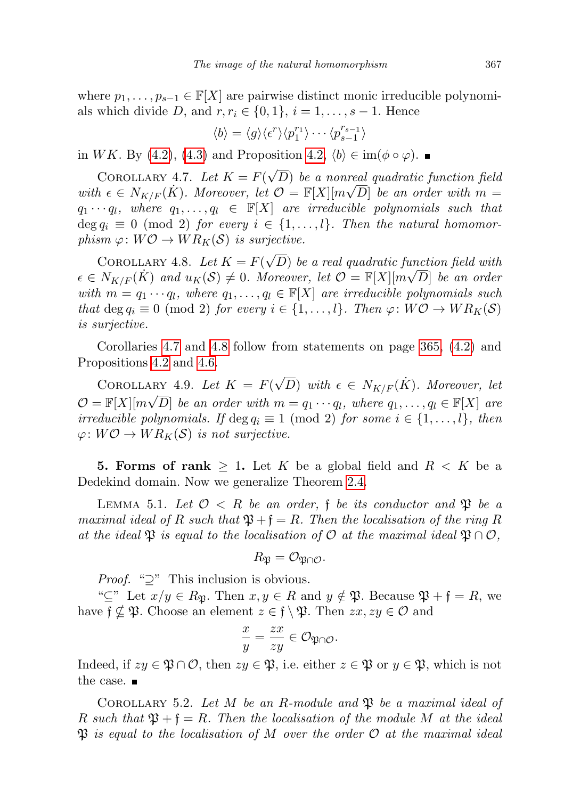where  $p_1, \ldots, p_{s-1} \in \mathbb{F}[X]$  are pairwise distinct monic irreducible polynomials which divide D, and  $r, r_i \in \{0, 1\}, i = 1, \ldots, s - 1$ . Hence

$$
\langle b \rangle = \langle g \rangle \langle \epsilon^r \rangle \langle p_1^{r_1} \rangle \cdots \langle p_{s-1}^{r_{s-1}} \rangle
$$

in WK. By [\(4.2\)](#page-16-2), [\(4.3\)](#page-17-0) and Proposition [4.2,](#page-16-3)  $\langle b \rangle \in \text{im}(\phi \circ \varphi)$ . ■

<span id="page-18-0"></span>COROLLARY 4.7. Let  $K = F(\sqrt{\sqrt{2}})$ D) be a nonreal quadratic function field with  $\epsilon \in N_{K/F}(\dot{K})$ . Moreover, let  $\mathcal{O} = \mathbb{F}[X][m\sqrt{D}]$  be an order with  $m =$  $q_1 \cdots q_l$ , where  $q_1, \ldots, q_l \in \mathbb{F}[X]$  are irreducible polynomials such that deg  $q_i \equiv 0 \pmod{2}$  for every  $i \in \{1, ..., l\}$ . Then the natural homomorphism  $\varphi: W\mathcal{O} \to WR_K(\mathcal{S})$  is surjective.

<span id="page-18-1"></span>COROLLARY 4.8. Let  $K = F(\sqrt{\sqrt{2}})$ D) be a real quadratic function field with  $\epsilon \in N_{K/F}(\dot K)$  and  $u_K(\mathcal{S}) \neq 0$ . Moreover, let  $\mathcal{O} = \mathbb{F}[X][m\sqrt{D}]$  be an order with  $m = q_1 \cdots q_l$ , where  $q_1, \ldots, q_l \in \mathbb{F}[X]$  are irreducible polynomials such that deg  $q_i \equiv 0 \pmod{2}$  for every  $i \in \{1, ..., l\}$ . Then  $\varphi: W\mathcal{O} \to WR_K(\mathcal{S})$ is surjective.

Corollaries [4.7](#page-18-0) and [4.8](#page-18-1) follow from statements on page [365,](#page-15-1) [\(4.2\)](#page-16-2) and Propositions [4.2](#page-16-3) and [4.6.](#page-17-0)

<span id="page-18-4"></span>COROLLARY 4.9. Let  $K = F(\sqrt{D})$  with  $\epsilon \in N_{K/F}(\dot{K})$ . Moreover, let  $\mathcal{O} = \mathbb{F}[X][m\sqrt{D}]$  be an order with  $m = q_1 \cdots q_l$ , where  $q_1, \ldots, q_l \in \mathbb{F}[X]$  are irreducible polynomials. If deg  $q_i \equiv 1 \pmod{2}$  for some  $i \in \{1, \ldots, l\}$ , then  $\varphi: W\mathcal{O} \to WR_K(\mathcal{S})$  is not surjective.

**5. Forms of rank**  $\geq 1$ . Let K be a global field and  $R \leq K$  be a Dedekind domain. Now we generalize Theorem [2.4.](#page-4-2)

<span id="page-18-2"></span>LEMMA 5.1. Let  $\mathcal{O} < R$  be an order, f be its conductor and  $\mathfrak{P}$  be a maximal ideal of R such that  $\mathfrak{P} + \mathfrak{f} = R$ . Then the localisation of the ring R at the ideal  $\mathfrak{P}$  is equal to the localisation of O at the maximal ideal  $\mathfrak{P} \cap \mathcal{O}$ ,

$$
R_{\mathfrak{P}}=\mathcal{O}_{\mathfrak{P}\cap\mathcal{O}}.
$$

*Proof.* " $\supseteq$ " This inclusion is obvious.

" $\subseteq$ " Let  $x/y \in R_{\mathfrak{B}}$ . Then  $x, y \in R$  and  $y \notin \mathfrak{P}$ . Because  $\mathfrak{P} + \mathfrak{f} = R$ , we have  $f \nsubseteq \mathfrak{P}$ . Choose an element  $z \in f \setminus \mathfrak{P}$ . Then  $zx, zy \in \mathcal{O}$  and

$$
\frac{x}{y} = \frac{zx}{zy} \in \mathcal{O}_{\mathfrak{P} \cap \mathcal{O}}.
$$

Indeed, if  $zy \in \mathfrak{P} \cap \mathcal{O}$ , then  $zy \in \mathfrak{P}$ , i.e. either  $z \in \mathfrak{P}$  or  $y \in \mathfrak{P}$ , which is not the case.  $\blacksquare$ 

<span id="page-18-3"></span>COROLLARY 5.2. Let M be an R-module and  $\mathfrak P$  be a maximal ideal of R such that  $\mathfrak{P} + \mathfrak{f} = R$ . Then the localisation of the module M at the ideal  $\mathfrak P$  is equal to the localisation of M over the order  $\mathcal O$  at the maximal ideal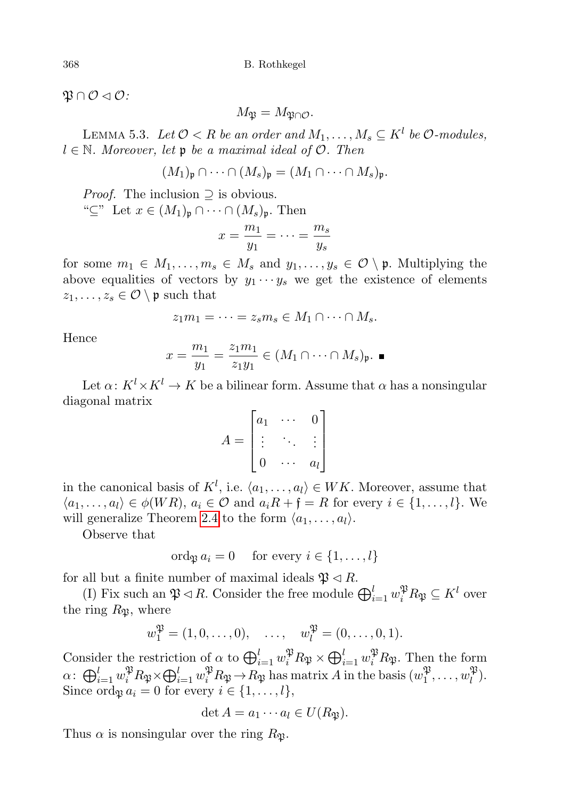$\mathfrak{P} \cap \mathcal{O} \triangleleft \mathcal{O}$ :

$$
M_{\mathfrak{P}}=M_{\mathfrak{P}\cap\mathcal{O}}.
$$

<span id="page-19-0"></span>LEMMA 5.3. Let  $\mathcal{O} < R$  be an order and  $M_1, \ldots, M_s \subseteq K^l$  be  $\mathcal{O}\text{-modules},$  $l \in \mathbb{N}$ . Moreover, let p be a maximal ideal of  $\mathcal{O}$ . Then

$$
(M_1)_{\mathfrak{p}} \cap \cdots \cap (M_s)_{\mathfrak{p}} = (M_1 \cap \cdots \cap M_s)_{\mathfrak{p}}.
$$

*Proof.* The inclusion  $\supseteq$  is obvious.

" $\subseteq$ " Let  $x \in (M_1)_{\mathfrak{p}} \cap \cdots \cap (M_s)_{\mathfrak{p}}$ . Then

$$
x = \frac{m_1}{y_1} = \dots = \frac{m_s}{y_s}
$$

for some  $m_1 \in M_1, \ldots, m_s \in M_s$  and  $y_1, \ldots, y_s \in \mathcal{O} \setminus \mathfrak{p}$ . Multiplying the above equalities of vectors by  $y_1 \cdots y_s$  we get the existence of elements  $z_1, \ldots, z_s \in \mathcal{O} \setminus \mathfrak{p}$  such that

$$
z_1m_1=\cdots=z_sm_s\in M_1\cap\cdots\cap M_s.
$$

Hence

$$
x = \frac{m_1}{y_1} = \frac{z_1 m_1}{z_1 y_1} \in (M_1 \cap \cdots \cap M_s)_{\mathfrak{p}}.
$$

Let  $\alpha: K^l \times K^l \to K$  be a bilinear form. Assume that  $\alpha$  has a nonsingular diagonal matrix

$$
A = \begin{bmatrix} a_1 & \cdots & 0 \\ \vdots & \ddots & \vdots \\ 0 & \cdots & a_l \end{bmatrix}
$$

in the canonical basis of  $K^l$ , i.e.  $\langle a_1, \ldots, a_l \rangle \in WK$ . Moreover, assume that  $\langle a_1, \ldots, a_l \rangle \in \phi(WR), a_i \in \mathcal{O}$  and  $a_i R + \mathfrak{f} = R$  for every  $i \in \{1, \ldots, l\}$ . We will generalize Theorem [2.4](#page-4-2) to the form  $\langle a_1, \ldots, a_l \rangle$ .

Observe that

$$
\operatorname{ord}_{\mathfrak{P}} a_i = 0 \quad \text{ for every } i \in \{1, \ldots, l\}
$$

for all but a finite number of maximal ideals  $\mathfrak{P} \triangleleft R$ .

(I) Fix such an  $\mathfrak{P} \lhd R$ . Consider the free module  $\bigoplus_{i=1}^{l} w_i^{\mathfrak{P}} R_{\mathfrak{P}} \subseteq K^l$  over the ring  $R_{\mathfrak{P}}$ , where

$$
w_1^{\mathfrak{P}} = (1, 0, \dots, 0), \dots, w_l^{\mathfrak{P}} = (0, \dots, 0, 1).
$$

Consider the restriction of  $\alpha$  to  $\bigoplus_{i=1}^l w_i^{\mathfrak{P}} R_{\mathfrak{P}} \times \bigoplus_{i=1}^l w_i^{\mathfrak{P}} R_{\mathfrak{P}}$ . Then the form  $\alpha\colon \bigoplus_{i=1}^l w_i^{\mathfrak{P}} R_{\mathfrak{P}}{\times} \bigoplus_{i=1}^l w_i^{\mathfrak{P}} R_{\mathfrak{P}}\to R_{\mathfrak{P}}$  has matrix A in the basis  $(w_1^{\mathfrak{P}})$  $v_1^{\mathfrak{P}}, \ldots, w_l^{\mathfrak{P}}$  $\binom{4}{l}$ . Since ord $\mathfrak{g} a_i = 0$  for every  $i \in \{1, \ldots, l\},\$ 

$$
\det A = a_1 \cdots a_l \in U(R_{\mathfrak{P}}).
$$

Thus  $\alpha$  is nonsingular over the ring  $R_{\mathfrak{P}}$ .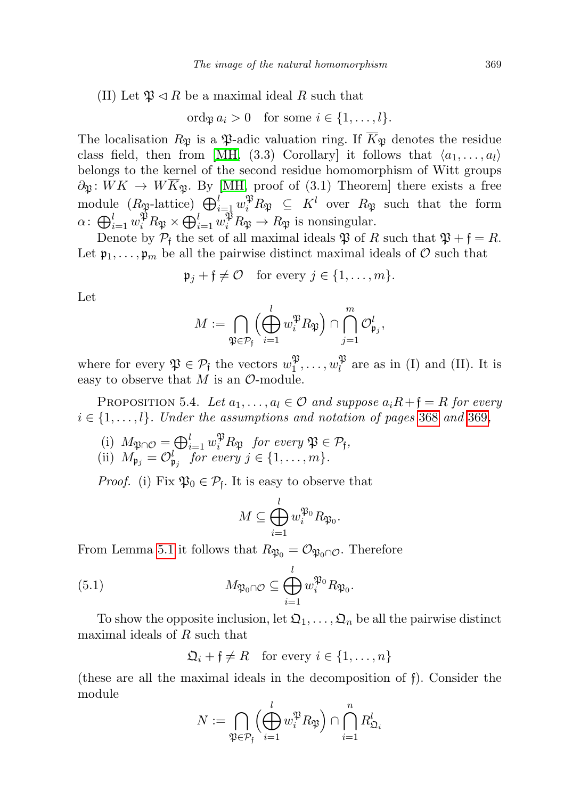(II) Let  $\mathfrak{P} \triangleleft R$  be a maximal ideal R such that

$$
\text{ord}_{\mathfrak{P}} a_i > 0 \quad \text{for some } i \in \{1, \ldots, l\}.
$$

The localisation  $R_{\mathfrak{P}}$  is a  $\mathfrak{P}$ -adic valuation ring. If  $\overline{K}_{\mathfrak{P}}$  denotes the residue class field, then from [\[MH,](#page-35-0) (3.3) Corollary] it follows that  $\langle a_1, \ldots, a_l \rangle$ belongs to the kernel of the second residue homomorphism of Witt groups  $\partial_{\mathfrak{P}}: WK \to W\overline{K}_{\mathfrak{P}}$ . By [\[MH,](#page-35-0) proof of (3.1) Theorem] there exists a free module  $(R_{\mathfrak{P}}\text{-lattice})\bigoplus_{i=1}^l w_i^{\mathfrak{P}} R_{\mathfrak{P}} \subseteq K^l$  over  $R_{\mathfrak{P}}$  such that the form  $\alpha \colon \bigoplus_{i=1}^l w_i^{\mathfrak{P}} R_{\mathfrak{P}} \times \bigoplus_{i=1}^l w_i^{\mathfrak{P}} R_{\mathfrak{P}} \to R_{\mathfrak{P}}$  is nonsingular.

Denote by  $P_f$  the set of all maximal ideals  $\mathfrak P$  of R such that  $\mathfrak P + \mathfrak f = R$ . Let  $\mathfrak{p}_1,\ldots,\mathfrak{p}_m$  be all the pairwise distinct maximal ideals of  $\mathcal O$  such that

$$
\mathfrak{p}_j + \mathfrak{f} \neq \mathcal{O} \quad \text{for every } j \in \{1, \dots, m\}.
$$

Let

$$
M:=\bigcap_{\mathfrak{P}\in \mathcal{P}_{\mathfrak{f}}}\Bigl(\bigoplus_{i=1}^lw_i^{\mathfrak{P}}R_{\mathfrak{P}}\Bigr)\cap \bigcap_{j=1}^m \mathcal{O}_{\mathfrak{p}_j}^l,
$$

where for every  $\mathfrak{P} \in \mathcal{P}_{\mathfrak{f}}$  the vectors  $w_1^{\mathfrak{P}}$  $\mathfrak{P}_1,\ldots,w_l^{\mathfrak{P}}$  $\ell_l^{\mathcal{P}}$  are as in (I) and (II). It is easy to observe that  $M$  is an  $\mathcal{O}\text{-module.}$ 

<span id="page-20-0"></span>PROPOSITION 5.4. Let  $a_1, \ldots, a_l \in \mathcal{O}$  and suppose  $a_i R + \mathfrak{f} = R$  for every  $i \in \{1, \ldots, l\}$ . Under the assumptions and notation of pages [368](#page-19-0) and [369](#page-19-0),

(i) 
$$
M_{\mathfrak{P} \cap \mathcal{O}} = \bigoplus_{i=1}^{l} w_i^{\mathfrak{P}} R_{\mathfrak{P}}
$$
 for every  $\mathfrak{P} \in \mathcal{P}_f$ ,  
(ii)  $M_{\mathfrak{p}_j} = \mathcal{O}_{\mathfrak{p}_j}^l$  for every  $j \in \{1, ..., m\}$ .

*Proof.* (i) Fix  $\mathfrak{P}_0 \in \mathcal{P}_f$ . It is easy to observe that

$$
M\subseteq \bigoplus_{i=1}^l w_i^{\mathfrak{P}_0}R_{\mathfrak{P}_0}.
$$

From Lemma [5.1](#page-18-2) it follows that  $R_{\mathfrak{P}_0} = \mathcal{O}_{\mathfrak{P}_0 \cap \mathcal{O}}$ . Therefore

(5.1) 
$$
M_{\mathfrak{P}_0 \cap \mathcal{O}} \subseteq \bigoplus_{i=1}^l w_i^{\mathfrak{P}_0} R_{\mathfrak{P}_0}.
$$

To show the opposite inclusion, let  $\mathfrak{Q}_1,\ldots,\mathfrak{Q}_n$  be all the pairwise distinct maximal ideals of R such that

$$
\mathfrak{Q}_i + \mathfrak{f} \neq R \quad \text{for every } i \in \{1, \dots, n\}
$$

(these are all the maximal ideals in the decomposition of f). Consider the module

$$
N := \bigcap_{\mathfrak{P} \in \mathcal{P}_{\mathfrak{f}}} \left( \bigoplus_{i=1}^{l} w_i^{\mathfrak{P}} R_{\mathfrak{P}} \right) \cap \bigcap_{i=1}^{n} R_{\mathfrak{Q}_i}^l
$$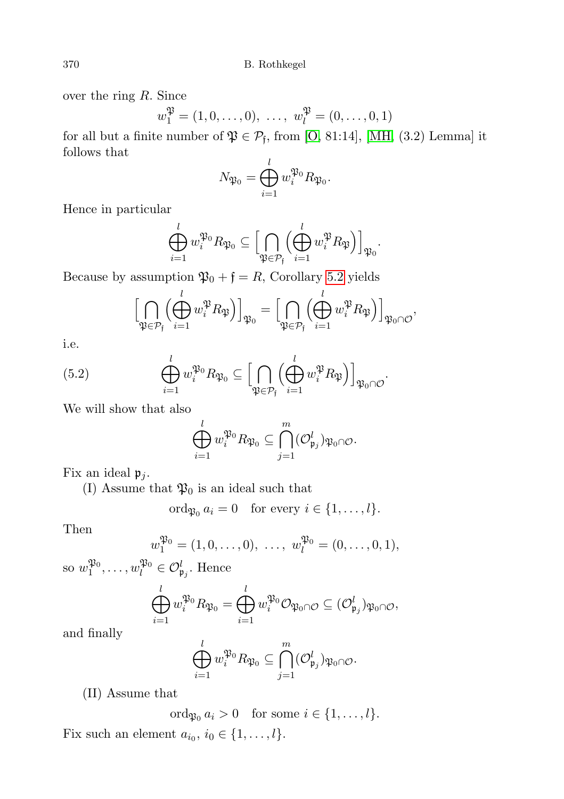over the ring R. Since

$$
w_1^{\mathfrak{P}} = (1, 0, \dots, 0), \dots, w_l^{\mathfrak{P}} = (0, \dots, 0, 1)
$$

for all but a finite number of  $\mathfrak{P} \in \mathcal{P}_{\mathfrak{f}}$ , from [\[O,](#page-35-6) 81:14], [\[MH,](#page-35-0) (3.2) Lemma] it follows that

$$
N_{\mathfrak{P}_0} = \bigoplus_{i=1}^l w_i^{\mathfrak{P}_0} R_{\mathfrak{P}_0}.
$$

Hence in particular

$$
\bigoplus_{i=1}^l w_i^{\mathfrak{P}_0} R_{\mathfrak{P}_0} \subseteq \Bigl[\bigcap_{\mathfrak{P} \in \mathcal{P}_{\mathfrak{f}}} \Bigl(\bigoplus_{i=1}^l w_i^{\mathfrak{P}} R_{\mathfrak{P}}\Bigr)\Bigr]_{\mathfrak{P}_0}.
$$

Because by assumption  $\mathfrak{P}_0 + \mathfrak{f} = R$ , Corollary [5.2](#page-18-3) yields

$$
\Big[\bigcap_{\mathfrak{P}\in\mathcal{P}_{\mathfrak{f}}} \Big(\bigoplus_{i=1}^l w_i^{\mathfrak{P}} R_{\mathfrak{P}}\Big)\Big]_{\mathfrak{P}_{0}} = \Big[\bigcap_{\mathfrak{P}\in\mathcal{P}_{\mathfrak{f}}} \Big(\bigoplus_{i=1}^l w_i^{\mathfrak{P}} R_{\mathfrak{P}}\Big)\Big]_{\mathfrak{P}_{0}\cap\mathcal{O}},
$$

i.e.

<span id="page-21-0"></span>(5.2) 
$$
\bigoplus_{i=1}^{l} w_i^{\mathfrak{P}_0} R_{\mathfrak{P}_0} \subseteq \Big[\bigcap_{\mathfrak{P} \in \mathcal{P}_{\mathfrak{f}}} \Big(\bigoplus_{i=1}^{l} w_i^{\mathfrak{P}} R_{\mathfrak{P}}\Big)\Big]_{\mathfrak{P}_0 \cap \mathcal{O}}.
$$

We will show that also

$$
\bigoplus_{i=1}^l w_i^{\mathfrak{P}_0} R_{\mathfrak{P}_0} \subseteq \bigcap_{j=1}^m (\mathcal{O}_{\mathfrak{p}_j}^l)_{\mathfrak{P}_0 \cap \mathcal{O}}.
$$

Fix an ideal  $\mathfrak{p}_i$ .

(I) Assume that  $\mathfrak{P}_0$  is an ideal such that

$$
\operatorname{ord}_{\mathfrak{P}_0} a_i = 0 \quad \text{for every } i \in \{1, \ldots, l\}.
$$

Then

$$
w_1^{\mathfrak{P}_0} = (1, 0, \dots, 0), \dots, w_l^{\mathfrak{P}_0} = (0, \dots, 0, 1),
$$

so  $w_1^{\mathfrak{P}_0}, \ldots, w_l^{\mathfrak{P}_0} \in \mathcal{O}_{\mathfrak{p}_j}^l$ . Hence

$$
\bigoplus_{i=1}^l w_i^{\mathfrak{P}_0} R_{\mathfrak{P}_0} = \bigoplus_{i=1}^l w_i^{\mathfrak{P}_0} \mathcal{O}_{\mathfrak{P}_0 \cap \mathcal{O}} \subseteq (\mathcal{O}_{\mathfrak{p}_j}^l)_{\mathfrak{P}_0 \cap \mathcal{O}},
$$

and finally

$$
\bigoplus_{i=1}^l w_i^{\mathfrak{P}_0} R_{\mathfrak{P}_0} \subseteq \bigcap_{j=1}^m (\mathcal{O}_{\mathfrak{p}_j}^l)_{\mathfrak{P}_0 \cap \mathcal{O}}.
$$

(II) Assume that

ord $a_i > 0$  for some  $i \in \{1, \ldots, l\}.$ 

Fix such an element  $a_{i_0}, i_0 \in \{1, \ldots, l\}.$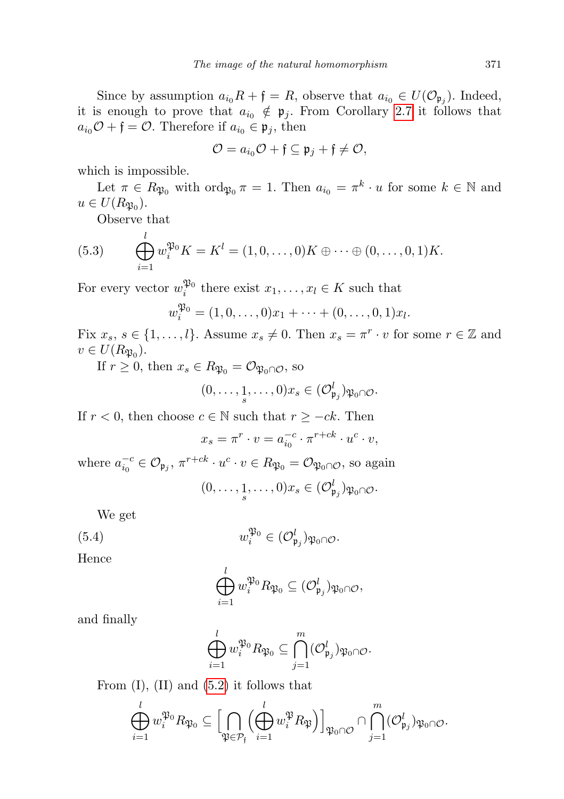Since by assumption  $a_{i_0}R + \mathfrak{f} = R$ , observe that  $a_{i_0} \in U(\mathcal{O}_{\mathfrak{p}_j})$ . Indeed, it is enough to prove that  $a_{i_0} \notin \mathfrak{p}_j$ . From Corollary [2.7](#page-6-1) it follows that  $a_{i_0}\mathcal{O} + \mathfrak{f} = \mathcal{O}$ . Therefore if  $a_{i_0} \in \mathfrak{p}_j$ , then

$$
\mathcal{O} = a_{i_0}\mathcal{O} + \mathfrak{f} \subseteq \mathfrak{p}_j + \mathfrak{f} \neq \mathcal{O},
$$

which is impossible.

Let  $\pi \in R_{\mathfrak{P}_0}$  with  $\text{ord}_{\mathfrak{P}_0} \pi = 1$ . Then  $a_{i_0} = \pi^k \cdot u$  for some  $k \in \mathbb{N}$  and  $u \in U(R_{\mathfrak{P}_0}).$ 

Observe that

(5.3) 
$$
\bigoplus_{i=1}^{l} w_i^{\mathfrak{P}_0} K = K^l = (1, 0, \dots, 0) K \oplus \dots \oplus (0, \dots, 0, 1) K.
$$

For every vector  $w_i^{\mathfrak{P}_0}$  there exist  $x_1, \ldots, x_l \in K$  such that

$$
w_i^{\mathfrak{P}_0} = (1, 0, \dots, 0)x_1 + \dots + (0, \dots, 0, 1)x_l.
$$

Fix  $x_s, s \in \{1, ..., l\}$ . Assume  $x_s \neq 0$ . Then  $x_s = \pi^r \cdot v$  for some  $r \in \mathbb{Z}$  and  $v \in U(R_{\mathfrak{P}_0}).$ 

If  $r \geq 0$ , then  $x_s \in R_{\mathfrak{P}_0} = \mathcal{O}_{\mathfrak{P}_0 \cap \mathcal{O}}$ , so

$$
(0,\ldots,\underset{s}{1},\ldots,0)x_s\in(\mathcal{O}_{\mathfrak{p}_j}^l)_{\mathfrak{P}_0\cap\mathcal{O}}.
$$

If  $r < 0$ , then choose  $c \in \mathbb{N}$  such that  $r \geq -ck$ . Then

$$
x_s = \pi^r \cdot v = a_{i_0}^{-c} \cdot \pi^{r+ck} \cdot u^c \cdot v,
$$

where  $a_{i_0}^{-c} \in \mathcal{O}_{\mathfrak{p}_j}$ ,  $\pi^{r+ck} \cdot u^c \cdot v \in R_{\mathfrak{P}_0} = \mathcal{O}_{\mathfrak{P}_0 \cap \mathcal{O}}$ , so again

$$
(0,\ldots,\underset{s}{1},\ldots,0)x_s\in(\mathcal{O}_{\mathfrak{p}_j}^l)_{\mathfrak{P}_0\cap\mathcal{O}}.
$$

We get

<span id="page-22-0"></span>(5.4) 
$$
w_i^{\mathfrak{P}_0} \in (\mathcal{O}_{\mathfrak{p}_j}^l)_{\mathfrak{P}_0 \cap \mathcal{O}}.
$$

Hence

$$
\bigoplus_{i=1}^l w_i^{\mathfrak{P}_0} R_{\mathfrak{P}_0} \subseteq (\mathcal{O}_{\mathfrak{p}_j}^l)_{\mathfrak{P}_0 \cap \mathcal{O}},
$$

and finally

$$
\bigoplus_{i=1}^l w_i^{\mathfrak{P}_0} R_{\mathfrak{P}_0} \subseteq \bigcap_{j=1}^m (\mathcal{O}_{\mathfrak{p}_j}^l)_{\mathfrak{P}_0 \cap \mathcal{O}}.
$$

From  $(I)$ ,  $(II)$  and  $(5.2)$  it follows that

$$
\bigoplus_{i=1}^l w_i^{\mathfrak{P}_0} R_{\mathfrak{P}_0} \subseteq \Bigl[\bigcap_{\mathfrak{P} \in \mathcal{P}_{\mathfrak{f}}} \Bigl(\bigoplus_{i=1}^l w_i^{\mathfrak{P}} R_{\mathfrak{P}}\Bigr)\Bigr]_{\mathfrak{P}_0 \cap \mathcal{O}} \cap \bigcap_{j=1}^m (\mathcal{O}_{\mathfrak{p}_j}^l)_{\mathfrak{P}_0 \cap \mathcal{O}}.
$$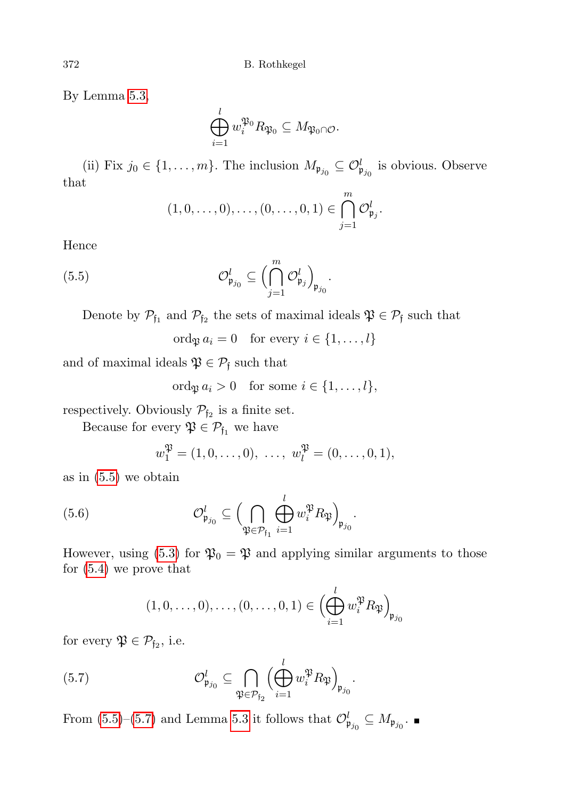By Lemma [5.3,](#page-19-0)

$$
\bigoplus_{i=1}^l w_i^{\mathfrak{P}_0} R_{\mathfrak{P}_0} \subseteq M_{\mathfrak{P}_0 \cap \mathcal{O}}.
$$

(ii) Fix  $j_0 \in \{1, ..., m\}$ . The inclusion  $M_{\mathfrak{p}_{j_0}} \subseteq \mathcal{O}_{\mathfrak{p}_{j_0}}^l$  is obvious. Observe that

$$
(1,0,\ldots,0),\ldots,(0,\ldots,0,1)\in\bigcap_{j=1}^m\mathcal{O}_{\mathfrak{p}_j}^l.
$$

Hence

<span id="page-23-0"></span>(5.5) 
$$
\mathcal{O}_{\mathfrak{p}_{j_0}}^l \subseteq \Big(\bigcap_{j=1}^m \mathcal{O}_{\mathfrak{p}_j}^l\Big)_{\mathfrak{p}_{j_0}}.
$$

Denote by  $\mathcal{P}_{f_1}$  and  $\mathcal{P}_{f_2}$  the sets of maximal ideals  $\mathfrak{P} \in \mathcal{P}_f$  such that

ord<sub>p</sub>  $a_i = 0$  for every  $i \in \{1, ..., l\}$ 

and of maximal ideals  $\mathfrak{P} \in \mathcal{P}_{\mathfrak{f}}$  such that

ord $a_i > 0$  for some  $i \in \{1, \ldots, l\},\$ 

respectively. Obviously  $\mathcal{P}_{f_2}$  is a finite set.

Because for every  $\mathfrak{P} \in \mathcal{P}_{\mathfrak{f}_1}$  we have

$$
w_1^{\mathfrak{P}} = (1, 0, \dots, 0), \dots, w_l^{\mathfrak{P}} = (0, \dots, 0, 1),
$$

as in [\(5.5\)](#page-23-0) we obtain

(5.6) 
$$
\mathcal{O}_{\mathfrak{p}_{j_0}}^l \subseteq \left(\bigcap_{\mathfrak{P} \in \mathcal{P}_{\mathfrak{f}_1}} \bigoplus_{i=1}^l w_i^{\mathfrak{P}} R_{\mathfrak{P}}\right)_{\mathfrak{p}_{j_0}}.
$$

However, using [\(5.3\)](#page-21-0) for  $\mathfrak{P}_0 = \mathfrak{P}$  and applying similar arguments to those for [\(5.4\)](#page-22-0) we prove that

$$
(1,0,\ldots,0),\ldots,(0,\ldots,0,1)\in\left(\bigoplus_{i=1}^l w_i^{\mathfrak{P}} R_{\mathfrak{P}}\right)_{\mathfrak{p}_{j_0}}
$$

for every  $\mathfrak{P} \in \mathcal{P}_{f_2}$ , i.e.

<span id="page-23-1"></span>(5.7) 
$$
\mathcal{O}_{\mathfrak{p}_{j_0}}^l \subseteq \bigcap_{\mathfrak{P} \in \mathcal{P}_{\mathfrak{f}_2}} \Big(\bigoplus_{i=1}^l w_i^{\mathfrak{P}} R_{\mathfrak{P}}\Big)_{\mathfrak{p}_{j_0}}.
$$

<span id="page-23-2"></span>From  $(5.5)$ – $(5.7)$  and Lemma [5.3](#page-19-0) it follows that  $\mathcal{O}^l_{\mathfrak{p}_{j_0}} \subseteq M_{\mathfrak{p}_{j_0}}$ .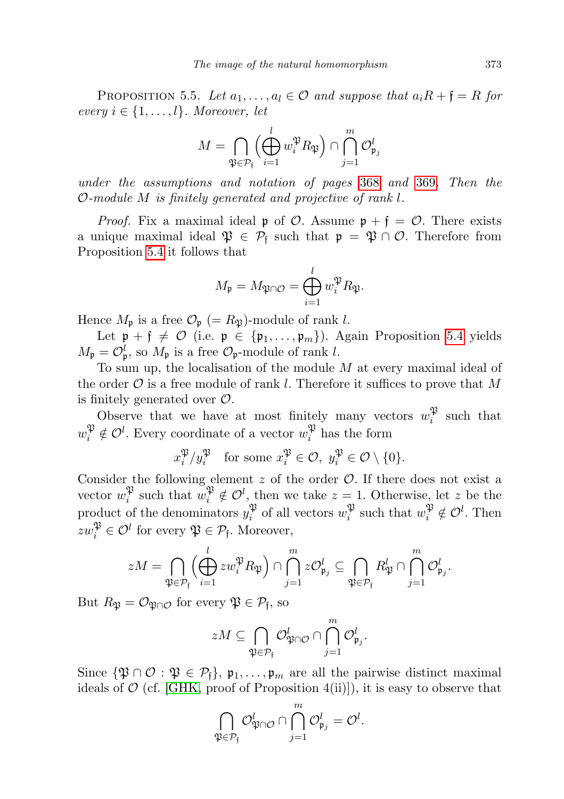PROPOSITION 5.5. Let  $a_1, \ldots, a_l \in \mathcal{O}$  and suppose that  $a_i R + \mathfrak{f} = R$  for every  $i \in \{1, \ldots, l\}$ . Moreover, let

$$
M = \bigcap_{\mathfrak{P} \in \mathcal{P}_{\mathfrak{f}}} \left( \bigoplus_{i=1}^{l} w_i^{\mathfrak{P}} R_{\mathfrak{P}} \right) \cap \bigcap_{j=1}^{m} \mathcal{O}_{\mathfrak{p}_j}^l
$$

under the assumptions and notation of pages [368](#page-19-0) and [369](#page-19-0). Then the O-module M is finitely generated and projective of rank l.

*Proof.* Fix a maximal ideal  $\mathfrak{p}$  of  $\mathcal{O}$ . Assume  $\mathfrak{p} + \mathfrak{f} = \mathcal{O}$ . There exists a unique maximal ideal  $\mathfrak{P} \in \mathcal{P}_{f}$  such that  $\mathfrak{p} = \mathfrak{P} \cap \mathcal{O}$ . Therefore from Proposition [5.4](#page-20-0) it follows that

$$
M_{\mathfrak{p}} = M_{\mathfrak{P} \cap \mathcal{O}} = \bigoplus_{i=1}^{l} w_i^{\mathfrak{P}} R_{\mathfrak{P}}.
$$

Hence  $M_{\mathfrak{p}}$  is a free  $\mathcal{O}_{\mathfrak{p}}$  (=  $R_{\mathfrak{P}}$ )-module of rank l.

Let  $\mathfrak{p} + \mathfrak{f} \neq \mathcal{O}$  (i.e.  $\mathfrak{p} \in \{\mathfrak{p}_1, \ldots, \mathfrak{p}_m\}$ ). Again Proposition [5.4](#page-20-0) yields  $M_{\mathfrak{p}} = \mathcal{O}_{\mathfrak{p}}^l$ , so  $M_{\mathfrak{p}}$  is a free  $\mathcal{O}_{\mathfrak{p}}$ -module of rank l.

To sum up, the localisation of the module  $M$  at every maximal ideal of the order  $\mathcal O$  is a free module of rank l. Therefore it suffices to prove that M is finitely generated over  $\mathcal{O}$ .

Observe that we have at most finitely many vectors  $w_i^{\mathfrak{P}}$  $i^{\mathfrak{P}}$  such that  $w_i^{\mathfrak{P}} \notin \mathcal{O}^l$ . Every coordinate of a vector  $w_i^{\mathfrak{P}}$  $i^{\mathfrak{p}}$  has the form

$$
x_i^{\mathfrak{P}}/y_i^{\mathfrak{P}}
$$
 for some  $x_i^{\mathfrak{P}} \in \mathcal{O}$ ,  $y_i^{\mathfrak{P}} \in \mathcal{O} \setminus \{0\}$ .

Consider the following element  $z$  of the order  $\mathcal{O}$ . If there does not exist a vector  $w_i^{\mathfrak{P}}$  $\hat{v}_i^{\mathfrak{P}}$  such that  $w_i^{\mathfrak{P}} \notin \mathcal{O}^l$ , then we take  $z = 1$ . Otherwise, let z be the product of the denominators  $y_i^{\mathfrak{P}}$  $\mathcal{E}_i^{\mathfrak{P}}$  of all vectors  $w_i^{\mathfrak{P}}$  $\mathcal{P}_i^{\mathfrak{P}}$  such that  $w_i^{\mathfrak{P}} \notin \mathcal{O}^l$ . Then  $zw_i^{\mathfrak{P}} \in \mathcal{O}^l$  for every  $\mathfrak{P} \in \mathcal{P}_{\mathfrak{f}}$ . Moreover,

$$
zM = \bigcap_{\mathfrak{P} \in \mathcal{P}_{\mathfrak{f}}} \left( \bigoplus_{i=1}^{l} zw_i^{\mathfrak{P}} R_{\mathfrak{P}} \right) \cap \bigcap_{j=1}^{m} z \mathcal{O}_{\mathfrak{p}_j}^{l} \subseteq \bigcap_{\mathfrak{P} \in \mathcal{P}_{\mathfrak{f}}} R_{\mathfrak{P}}^{l} \cap \bigcap_{j=1}^{m} \mathcal{O}_{\mathfrak{p}_j}^{l}.
$$

But  $R_{\mathfrak{P}} = \mathcal{O}_{\mathfrak{P} \cap \mathcal{O}}$  for every  $\mathfrak{P} \in \mathcal{P}_{\mathfrak{f}},$  so

$$
zM \subseteq \bigcap_{\mathfrak{P} \in \mathcal{P}_{\mathfrak{f}}} \mathcal{O}_{\mathfrak{P} \cap \mathcal{O}}^l \cap \bigcap_{j=1}^m \mathcal{O}_{\mathfrak{p}_j}^l.
$$

Since  $\{\mathfrak{P} \cap \mathcal{O} : \mathfrak{P} \in \mathcal{P}_{\mathfrak{f}}\}, \mathfrak{p}_1, \ldots, \mathfrak{p}_m$  are all the pairwise distinct maximal ideals of  $\mathcal{O}$  (cf. [\[GHK,](#page-34-5) proof of Proposition 4(ii)]), it is easy to observe that

$$
\bigcap_{\mathfrak{P}\in \mathcal{P}_{\mathfrak{f}}}\mathcal{O}_{\mathfrak{P}\cap\mathcal{O}}^l\cap\bigcap_{j=1}^m\mathcal{O}_{\mathfrak{p}_j}^l=\mathcal{O}^l.
$$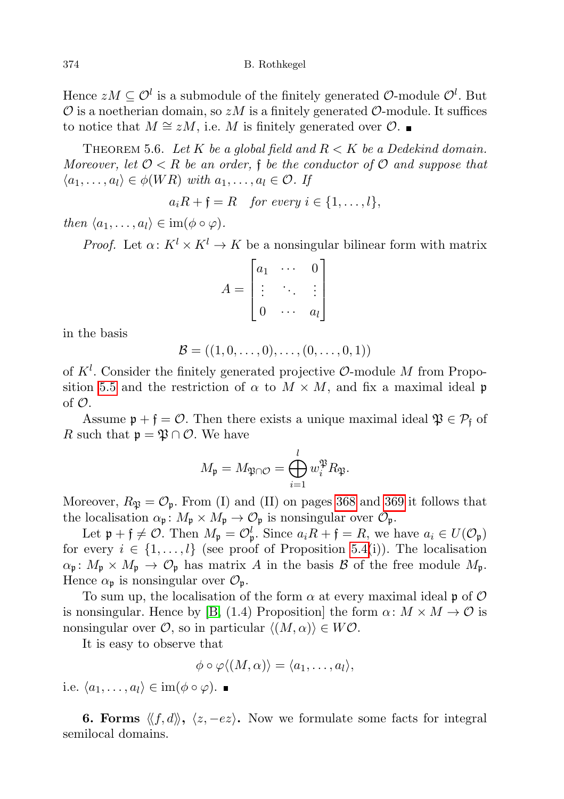Hence  $zM \subseteq \mathcal{O}^l$  is a submodule of the finitely generated  $\mathcal{O}\text{-module } \mathcal{O}^l$ . But  $\mathcal O$  is a noetherian domain, so  $zM$  is a finitely generated  $\mathcal O$ -module. It suffices to notice that  $M \cong zM$ , i.e. M is finitely generated over  $\mathcal{O}$ . ■

<span id="page-25-1"></span>THEOREM 5.6. Let K be a global field and  $R < K$  be a Dedekind domain. Moreover, let  $\mathcal{O} < R$  be an order, f be the conductor of  $\mathcal{O}$  and suppose that  $\langle a_1, \ldots, a_l \rangle \in \phi(WR)$  with  $a_1, \ldots, a_l \in \mathcal{O}$ . If

$$
a_i R + \mathfrak{f} = R \quad \text{for every } i \in \{1, \ldots, l\},
$$

then  $\langle a_1, \ldots, a_l \rangle \in \text{im}(\phi \circ \varphi)$ .

*Proof.* Let  $\alpha: K^l \times K^l \to K$  be a nonsingular bilinear form with matrix

$$
A = \begin{bmatrix} a_1 & \cdots & 0 \\ \vdots & \ddots & \vdots \\ 0 & \cdots & a_l \end{bmatrix}
$$

in the basis

$$
\mathcal{B}=((1,0,\ldots,0),\ldots,(0,\ldots,0,1))
$$

of  $K^l$ . Consider the finitely generated projective  $\mathcal{O}\text{-module }M$  from Propo-sition [5.5](#page-23-2) and the restriction of  $\alpha$  to  $M \times M$ , and fix a maximal ideal p of  $\mathcal{O}$ .

Assume  $\mathfrak{p} + \mathfrak{f} = \mathcal{O}$ . Then there exists a unique maximal ideal  $\mathfrak{P} \in \mathcal{P}_{\mathfrak{f}}$  of R such that  $\mathfrak{p} = \mathfrak{P} \cap \mathcal{O}$ . We have

$$
M_{\mathfrak{p}} = M_{\mathfrak{P} \cap \mathcal{O}} = \bigoplus_{i=1}^{l} w_i^{\mathfrak{P}} R_{\mathfrak{P}}.
$$

Moreover,  $R_{\mathfrak{P}} = \mathcal{O}_{\mathfrak{p}}$ . From (I) and (II) on pages [368](#page-19-0) and [369](#page-19-0) it follows that the localisation  $\alpha_{\mathfrak{p}}: M_{\mathfrak{p}} \times M_{\mathfrak{p}} \to \mathcal{O}_{\mathfrak{p}}$  is nonsingular over  $\mathcal{O}_{\mathfrak{p}}$ .

Let  $\mathfrak{p} + \mathfrak{f} \neq \mathcal{O}$ . Then  $M_{\mathfrak{p}} = \mathcal{O}_{\mathfrak{p}}^l$ . Since  $a_i R + \mathfrak{f} = R$ , we have  $a_i \in U(\mathcal{O}_{\mathfrak{p}})$ for every  $i \in \{1, \ldots, l\}$  (see proof of Proposition [5.4\(](#page-20-0)i)). The localisation  $\alpha_{\mathfrak{p}}: M_{\mathfrak{p}} \times M_{\mathfrak{p}} \to \mathcal{O}_{\mathfrak{p}}$  has matrix A in the basis B of the free module  $M_{\mathfrak{p}}$ . Hence  $\alpha_{\mathfrak{p}}$  is nonsingular over  $\mathcal{O}_{\mathfrak{p}}$ .

To sum up, the localisation of the form  $\alpha$  at every maximal ideal p of  $\mathcal O$ is nonsingular. Hence by [\[B,](#page-34-9) (1.4) Proposition] the form  $\alpha \colon M \times M \to \mathcal{O}$  is nonsingular over  $\mathcal{O}$ , so in particular  $\langle (M, \alpha) \rangle \in W\mathcal{O}$ .

It is easy to observe that

$$
\phi \circ \varphi \langle (M, \alpha) \rangle = \langle a_1, \ldots, a_l \rangle,
$$

i.e.  $\langle a_1, \ldots, a_l \rangle \in \text{im}(\phi \circ \varphi)$ .

<span id="page-25-2"></span><span id="page-25-0"></span>**6. Forms**  $\langle f, d \rangle$ ,  $\langle z, -e z \rangle$ . Now we formulate some facts for integral semilocal domains.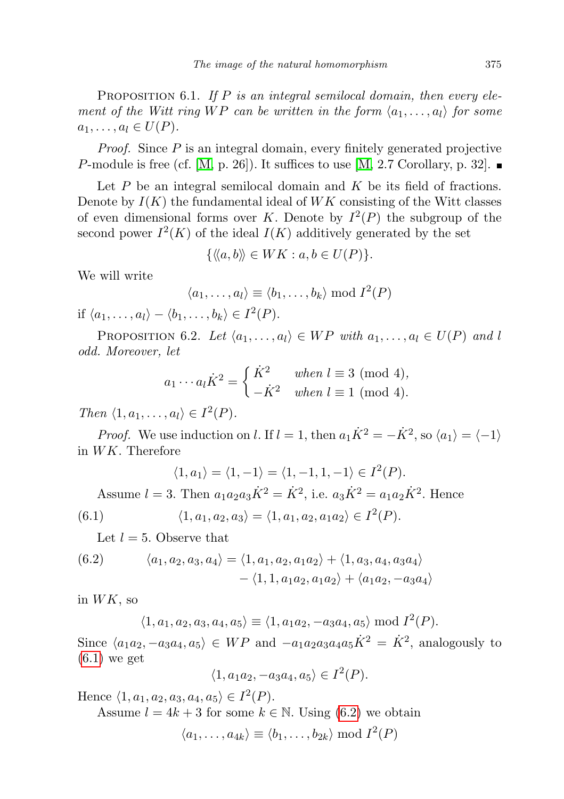PROPOSITION 6.1. If  $P$  is an integral semilocal domain, then every element of the Witt ring WP can be written in the form  $\langle a_1, \ldots, a_l \rangle$  for some  $a_1, \ldots, a_l \in U(P)$ .

Proof. Since P is an integral domain, every finitely generated projective P-module is free (cf. [\[M,](#page-35-7) p. 26]). It suffices to use  $[M, 2.7 \text{ Corollary, p. } 32]$ .

Let  $P$  be an integral semilocal domain and  $K$  be its field of fractions. Denote by  $I(K)$  the fundamental ideal of  $WK$  consisting of the Witt classes of even dimensional forms over K. Denote by  $I^2(P)$  the subgroup of the second power  $I^2(K)$  of the ideal  $I(K)$  additively generated by the set

$$
\{\langle\langle a,b\rangle\rangle\in WK : a,b\in U(P)\}.
$$

We will write

$$
\langle a_1, \ldots, a_l \rangle \equiv \langle b_1, \ldots, b_k \rangle \bmod I^2(P)
$$

if  $\langle a_1, \ldots, a_l \rangle - \langle b_1, \ldots, b_k \rangle \in I^2(P)$ .

<span id="page-26-2"></span>PROPOSITION 6.2. Let  $\langle a_1, \ldots, a_l \rangle \in WP$  with  $a_1, \ldots, a_l \in U(P)$  and l odd. Moreover, let

$$
a_1 \cdots a_l \dot{K}^2 = \begin{cases} \dot{K}^2 & when l \equiv 3 \pmod{4}, \\ -\dot{K}^2 & when l \equiv 1 \pmod{4}. \end{cases}
$$

Then  $\langle 1, a_1, \ldots, a_l \rangle \in I^2(P)$ .

*Proof.* We use induction on l. If  $l = 1$ , then  $a_1 \dot{K}^2 = -\dot{K}^2$ , so  $\langle a_1 \rangle = \langle -1 \rangle$ in WK. Therefore

$$
\langle 1, a_1 \rangle = \langle 1, -1 \rangle = \langle 1, -1, 1, -1 \rangle \in I^2(P).
$$

Assume  $l = 3$ . Then  $a_1 a_2 a_3 \dot{K}^2 = \dot{K}^2$ , i.e.  $a_3 \dot{K}^2 = a_1 a_2 \dot{K}^2$ . Hence

<span id="page-26-0"></span>(6.1) 
$$
\langle 1, a_1, a_2, a_3 \rangle = \langle 1, a_1, a_2, a_1 a_2 \rangle \in I^2(P).
$$

Let  $l = 5$ . Observe that

<span id="page-26-1"></span>(6.2) 
$$
\langle a_1, a_2, a_3, a_4 \rangle = \langle 1, a_1, a_2, a_1 a_2 \rangle + \langle 1, a_3, a_4, a_3 a_4 \rangle - \langle 1, 1, a_1 a_2, a_1 a_2 \rangle + \langle a_1 a_2, -a_3 a_4 \rangle
$$

in  $WK$ , so

$$
\langle 1, a_1, a_2, a_3, a_4, a_5 \rangle \equiv \langle 1, a_1 a_2, -a_3 a_4, a_5 \rangle \bmod I^2(P).
$$

Since  $\langle a_1 a_2, -a_3 a_4, a_5 \rangle \in WP$  and  $-a_1 a_2 a_3 a_4 a_5 \dot{K}^2 = \dot{K}^2$ , analogously to  $(6.1)$  we get

$$
\langle 1, a_1 a_2, -a_3 a_4, a_5 \rangle \in I^2(P).
$$

Hence  $\langle 1, a_1, a_2, a_3, a_4, a_5 \rangle \in I^2(P)$ .

Assume  $l = 4k + 3$  for some  $k \in \mathbb{N}$ . Using [\(6.2\)](#page-26-1) we obtain

 $\langle a_1, \ldots, a_{4k} \rangle \equiv \langle b_1, \ldots, b_{2k} \rangle \bmod I^2(P)$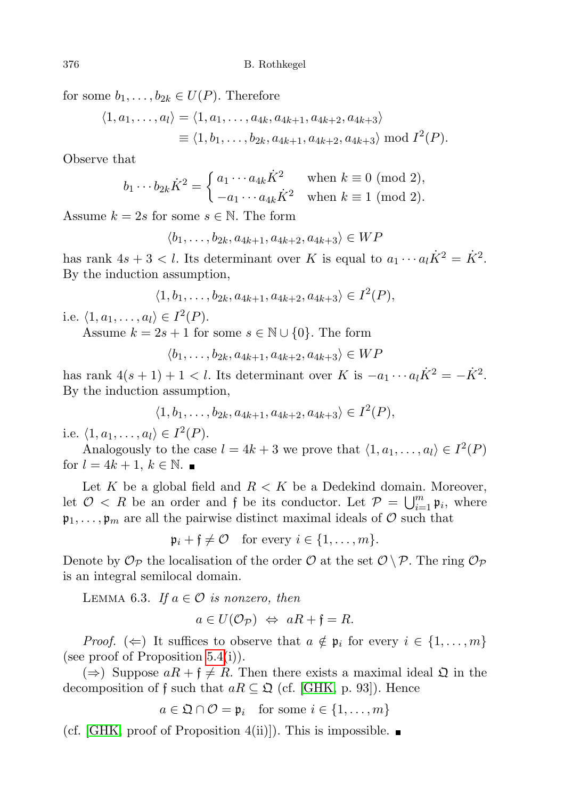for some  $b_1, \ldots, b_{2k} \in U(P)$ . Therefore

$$
\langle 1, a_1, \dots, a_l \rangle = \langle 1, a_1, \dots, a_{4k}, a_{4k+1}, a_{4k+2}, a_{4k+3} \rangle
$$
  
 
$$
\equiv \langle 1, b_1, \dots, b_{2k}, a_{4k+1}, a_{4k+2}, a_{4k+3} \rangle \bmod I^2(P).
$$

Observe that

$$
b_1 \cdots b_{2k} \dot{K}^2 = \begin{cases} a_1 \cdots a_{4k} \dot{K}^2 & \text{when } k \equiv 0 \pmod{2}, \\ -a_1 \cdots a_{4k} \dot{K}^2 & \text{when } k \equiv 1 \pmod{2}. \end{cases}
$$

Assume  $k = 2s$  for some  $s \in \mathbb{N}$ . The form

$$
\langle b_1,\ldots,b_{2k},a_{4k+1},a_{4k+2},a_{4k+3}\rangle\in WP
$$

has rank  $4s + 3 < l$ . Its determinant over K is equal to  $a_1 \cdots a_l \dot{K}^2 = \dot{K}^2$ . By the induction assumption,

$$
\langle 1, b_1, \ldots, b_{2k}, a_{4k+1}, a_{4k+2}, a_{4k+3} \rangle \in I^2(P),
$$

i.e.  $\langle 1, a_1, \ldots, a_l \rangle \in I^2(P)$ .

Assume  $k = 2s + 1$  for some  $s \in \mathbb{N} \cup \{0\}$ . The form

$$
\langle b_1,\ldots,b_{2k},a_{4k+1},a_{4k+2},a_{4k+3}\rangle\in WP
$$

has rank  $4(s + 1) + 1 < l$ . Its determinant over K is  $-a_1 \cdots a_l \dot{K}^2 = -\dot{K}^2$ . By the induction assumption,

$$
\langle 1, b_1, \ldots, b_{2k}, a_{4k+1}, a_{4k+2}, a_{4k+3} \rangle \in I^2(P),
$$

i.e.  $\langle 1, a_1, \ldots, a_l \rangle \in I^2(P)$ .

Analogously to the case  $l = 4k + 3$  we prove that  $\langle 1, a_1, \ldots, a_l \rangle \in I^2(P)$ for  $l = 4k + 1, k \in \mathbb{N}$ .

Let K be a global field and  $R < K$  be a Dedekind domain. Moreover, let  $\mathcal{O} \leq R$  be an order and f be its conductor. Let  $\mathcal{P} = \bigcup_{i=1}^{m} \mathfrak{p}_i$ , where  $\mathfrak{p}_1, \ldots, \mathfrak{p}_m$  are all the pairwise distinct maximal ideals of  $\mathcal O$  such that

 $\mathfrak{p}_i + \mathfrak{f} \neq \mathcal{O}$  for every  $i \in \{1, \ldots, m\}.$ 

Denote by  $\mathcal{O}_{\mathcal{P}}$  the localisation of the order  $\mathcal{O}$  at the set  $\mathcal{O} \setminus \mathcal{P}$ . The ring  $\mathcal{O}_{\mathcal{P}}$ is an integral semilocal domain.

LEMMA 6.3. If  $a \in \mathcal{O}$  is nonzero, then

$$
a \in U(\mathcal{O}_{\mathcal{P}}) \iff aR + \mathfrak{f} = R.
$$

*Proof.* ( $\Leftarrow$ ) It suffices to observe that  $a \notin \mathfrak{p}_i$  for every  $i \in \{1, \ldots, m\}$ (see proof of Proposition [5.4\(](#page-20-0)i)).

 $(\Rightarrow)$  Suppose  $aR + f \neq R$ . Then there exists a maximal ideal  $\mathfrak{Q}$  in the decomposition of f such that  $aR \subseteq \mathfrak{Q}$  (cf. [\[GHK,](#page-34-5) p. 93]). Hence

 $a \in \mathfrak{Q} \cap \mathcal{O} = \mathfrak{p}_i$  for some  $i \in \{1, \ldots, m\}$ 

<span id="page-27-0"></span>(cf. [\[GHK,](#page-34-5) proof of Proposition 4(ii)]). This is impossible.  $\blacksquare$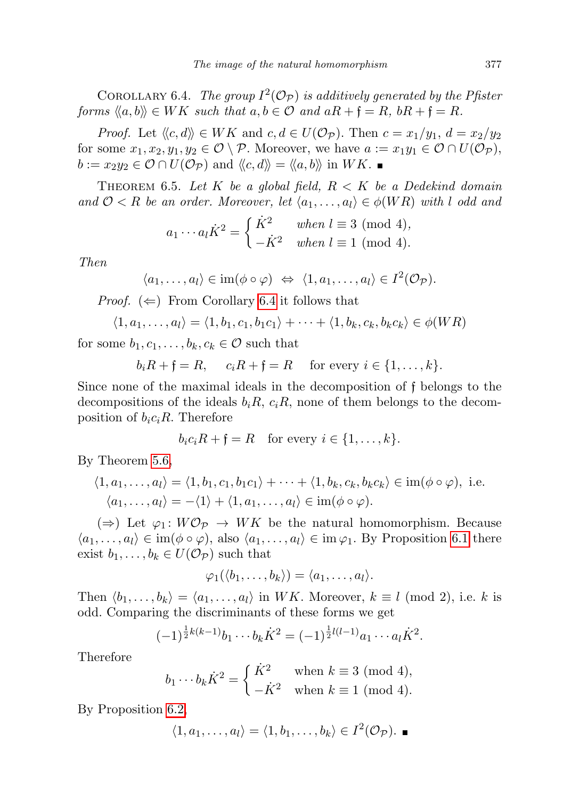COROLLARY 6.4. The group  $I^2(\mathcal{O}_\mathcal{P})$  is additively generated by the Pfister forms  $\langle a, b \rangle \in WK$  such that  $a, b \in \mathcal{O}$  and  $aR + f = R$ ,  $bR + f = R$ .

*Proof.* Let  $\langle \langle c, d \rangle \rangle \in WK$  and  $c, d \in U(\mathcal{O}_{\mathcal{P}})$ . Then  $c = x_1/y_1$ ,  $d = x_2/y_2$ for some  $x_1, x_2, y_1, y_2 \in \mathcal{O} \setminus \mathcal{P}$ . Moreover, we have  $a := x_1y_1 \in \mathcal{O} \cap U(\mathcal{O}_{\mathcal{P}})$ ,  $b := x_2y_2 \in \mathcal{O} \cap U(\mathcal{O}_{\mathcal{P}})$  and  $\langle \langle c, d \rangle \rangle = \langle \langle a, b \rangle \rangle$  in  $WK. \blacksquare$ 

<span id="page-28-1"></span>THEOREM 6.5. Let K be a global field,  $R < K$  be a Dedekind domain and  $\mathcal{O} < R$  be an order. Moreover, let  $\langle a_1, \ldots, a_l \rangle \in \phi(WR)$  with l odd and

$$
a_1 \cdots a_l \dot{K}^2 = \begin{cases} \dot{K}^2 & when l \equiv 3 \pmod{4}, \\ -\dot{K}^2 & when l \equiv 1 \pmod{4}. \end{cases}
$$

Then

$$
\langle a_1,\ldots,a_l\rangle\in \operatorname{im}(\phi\circ\varphi)\ \Leftrightarrow\ \langle 1,a_1,\ldots,a_l\rangle\in I^2(\mathcal{O}_{\mathcal{P}}).
$$

*Proof.*  $(\Leftarrow)$  From Corollary [6.4](#page-27-0) it follows that

$$
\langle 1, a_1, \ldots, a_l \rangle = \langle 1, b_1, c_1, b_1 c_1 \rangle + \cdots + \langle 1, b_k, c_k, b_k c_k \rangle \in \phi(WR)
$$

for some  $b_1, c_1, \ldots, b_k, c_k \in \mathcal{O}$  such that

$$
b_i R + \mathfrak{f} = R, \quad c_i R + \mathfrak{f} = R \quad \text{for every } i \in \{1, \ldots, k\}.
$$

Since none of the maximal ideals in the decomposition of f belongs to the decompositions of the ideals  $b_iR$ ,  $c_iR$ , none of them belongs to the decomposition of  $b_i c_i R$ . Therefore

$$
b_i c_i R + \mathfrak{f} = R \quad \text{for every } i \in \{1, \ldots, k\}.
$$

By Theorem [5.6,](#page-25-1)

$$
\langle 1, a_1, \dots, a_l \rangle = \langle 1, b_1, c_1, b_1 c_1 \rangle + \dots + \langle 1, b_k, c_k, b_k c_k \rangle \in \text{im}(\phi \circ \varphi), \text{ i.e.}
$$
  

$$
\langle a_1, \dots, a_l \rangle = -\langle 1 \rangle + \langle 1, a_1, \dots, a_l \rangle \in \text{im}(\phi \circ \varphi).
$$

 $(\Rightarrow)$  Let  $\varphi_1: W\mathcal{O}_{\mathcal{P}} \to WK$  be the natural homomorphism. Because  $\langle a_1, \ldots, a_l \rangle \in \text{im}(\phi \circ \varphi), \text{ also } \langle a_1, \ldots, a_l \rangle \in \text{im} \varphi_1. \text{ By Proposition 6.1 there}$  $\langle a_1, \ldots, a_l \rangle \in \text{im}(\phi \circ \varphi), \text{ also } \langle a_1, \ldots, a_l \rangle \in \text{im} \varphi_1. \text{ By Proposition 6.1 there}$  $\langle a_1, \ldots, a_l \rangle \in \text{im}(\phi \circ \varphi), \text{ also } \langle a_1, \ldots, a_l \rangle \in \text{im} \varphi_1. \text{ By Proposition 6.1 there}$ exist  $b_1, \ldots, b_k \in U(\mathcal{O}_{\mathcal{P}})$  such that

$$
\varphi_1(\langle b_1,\ldots,b_k\rangle)=\langle a_1,\ldots,a_l\rangle.
$$

Then  $\langle b_1, \ldots, b_k \rangle = \langle a_1, \ldots, a_l \rangle$  in WK. Moreover,  $k \equiv l \pmod{2}$ , i.e. k is odd. Comparing the discriminants of these forms we get

$$
(-1)^{\frac{1}{2}k(k-1)}b_1\cdots b_k\dot{K}^2 = (-1)^{\frac{1}{2}l(l-1)}a_1\cdots a_l\dot{K}^2.
$$

Therefore

$$
b_1 \cdots b_k \dot{K}^2 = \begin{cases} \dot{K}^2 & \text{when } k \equiv 3 \pmod{4}, \\ -\dot{K}^2 & \text{when } k \equiv 1 \pmod{4}. \end{cases}
$$

<span id="page-28-0"></span>By Proposition [6.2,](#page-26-2)

$$
\langle 1, a_1, \ldots, a_l \rangle = \langle 1, b_1, \ldots, b_k \rangle \in I^2(\mathcal{O}_{\mathcal{P}}).
$$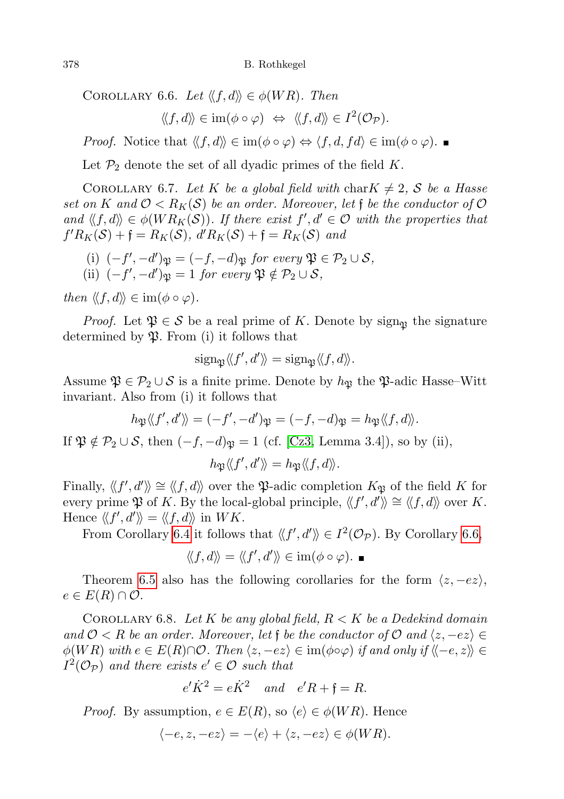COROLLARY 6.6. Let  $\langle f, d \rangle \in \phi(WR)$ . Then

$$
\langle\!\langle f, d\rangle\!\rangle \in \operatorname{im}(\phi \circ \varphi) \ \Leftrightarrow \ \langle\!\langle f, d\rangle\!\rangle \in I^2(\mathcal{O}_{\mathcal{P}}).
$$

*Proof.* Notice that  $\langle f, d \rangle \in \text{im}(\phi \circ \varphi) \Leftrightarrow \langle f, d, f \circ \varphi \rangle \in \text{im}(\phi \circ \varphi)$ .

Let  $\mathcal{P}_2$  denote the set of all dyadic primes of the field K.

<span id="page-29-0"></span>COROLLARY 6.7. Let K be a global field with char $K \neq 2$ , S be a Hasse set on K and  $\mathcal{O} < R_K(\mathcal{S})$  be an order. Moreover, let f be the conductor of  $\mathcal O$ and  $\langle f, d \rangle \in \phi(W R_K(\mathcal{S}))$ . If there exist  $f', d' \in \mathcal{O}$  with the properties that  $f'R_K(\mathcal{S}) + \mathfrak{f} = R_K(\mathcal{S}), d'R_K(\mathcal{S}) + \mathfrak{f} = R_K(\mathcal{S})$  and

(i) 
$$
(-f', -d')\mathfrak{P} = (-f, -d)\mathfrak{P}
$$
 for every  $\mathfrak{P} \in \mathcal{P}_2 \cup \mathcal{S}$ ,  
\n(ii)  $(-f', -d')\mathfrak{P} = 1$  for every  $\mathfrak{P} \notin \mathcal{P}_2 \cup \mathcal{S}$ ,

then  $\langle f, d \rangle \in \text{im}(\phi \circ \varphi)$ .

*Proof.* Let  $\mathfrak{P} \in \mathcal{S}$  be a real prime of K. Denote by sign<sub>n</sub> the signature determined by  $\mathfrak{P}$ . From (i) it follows that

$$
\operatorname{sign}_{\mathfrak{P}} \langle f', d' \rangle = \operatorname{sign}_{\mathfrak{P}} \langle f, d \rangle.
$$

Assume  $\mathfrak{P} \in \mathcal{P}_2 \cup \mathcal{S}$  is a finite prime. Denote by  $h_{\mathfrak{P}}$  the  $\mathfrak{P}\text{-}\mathsf{adic}$  Hasse–Witt invariant. Also from (i) it follows that

$$
h_{\mathfrak{P}}\langle f',d'\rangle\rangle=(-f',-d')_{\mathfrak{P}}=(-f,-d)_{\mathfrak{P}}=h_{\mathfrak{P}}\langle\langle f,d\rangle\rangle.
$$

If  $\mathfrak{P} \notin \mathcal{P}_2 \cup \mathcal{S}$ , then  $(-f, -d)_{\mathfrak{P}} = 1$  (cf. [\[Cz3,](#page-34-3) Lemma 3.4]), so by (ii),

$$
h_{\mathfrak{P}}\langle f',d'\rangle\!\rangle=h_{\mathfrak{P}}\langle\!\langle f,d\rangle\!\rangle.
$$

Finally,  $\langle f', d' \rangle \cong \langle f, d \rangle$  over the P-adic completion  $K_{\mathfrak{P}}$  of the field K for every prime  $\mathfrak P$  of K. By the local-global principle,  $\langle f', d' \rangle \cong \langle f, d \rangle$  over K. Hence  $\langle f', d'\rangle = \langle f, d\rangle$  in  $WK$ .

From Corollary [6.4](#page-27-0) it follows that  $\langle f', d' \rangle \in I^2(\mathcal{O}_{\mathcal{P}})$ . By Corollary [6.6,](#page-28-0)

$$
\langle\!\langle f,d\rangle\!\rangle=\langle\!\langle f',d'\rangle\!\rangle\in\mathrm{im}(\phi\circ\varphi).\blacksquare
$$

Theorem [6.5](#page-28-1) also has the following corollaries for the form  $\langle z, -ez \rangle$ ,  $e \in E(R) \cap \mathcal{O}.$ 

<span id="page-29-1"></span>COROLLARY 6.8. Let K be any global field,  $R < K$  be a Dedekind domain and  $\mathcal{O} < R$  be an order. Moreover, let f be the conductor of  $\mathcal{O}$  and  $\langle z, -ez \rangle \in$  $\phi(WR)$  with  $e \in E(R) \cap \mathcal{O}$ . Then  $\langle z, -ez \rangle \in \text{im}(\phi \circ \varphi)$  if and only if  $\langle -e, z \rangle \in$  $I^2(\mathcal{O}_\mathcal{P})$  and there exists  $e' \in \mathcal{O}$  such that

$$
e'\dot{K}^2 = e\dot{K}^2 \quad and \quad e'R + \mathfrak{f} = R.
$$

*Proof.* By assumption,  $e \in E(R)$ , so  $\langle e \rangle \in \phi(WR)$ . Hence

$$
\langle -e, z, -ez \rangle = -\langle e \rangle + \langle z, -ez \rangle \in \phi(WR).
$$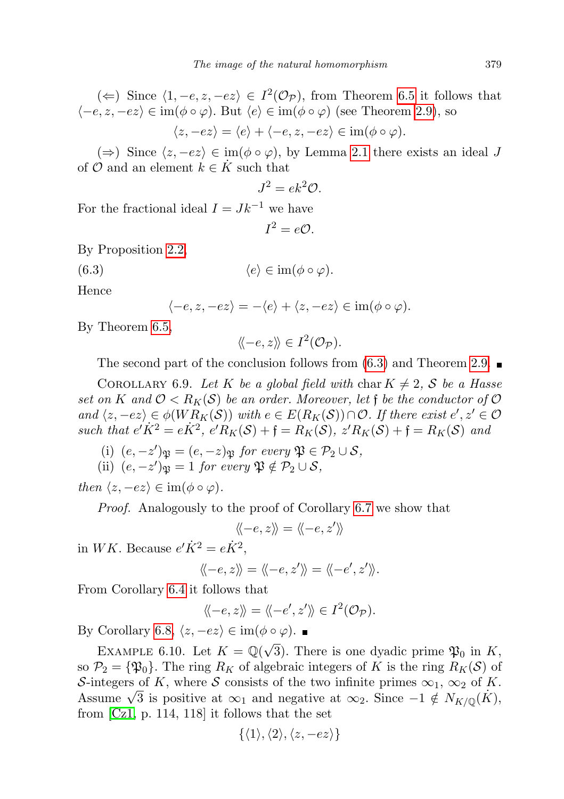(
$$
\Leftarrow
$$
) Since  $\langle 1, -e, z, -ez \rangle \in I^2(\mathcal{O}_{\mathcal{P}})$ , from Theorem 6.5 it follows that  $\langle -e, z, -ez \rangle \in \text{im}(\phi \circ \varphi)$ . But  $\langle e \rangle \in \text{im}(\phi \circ \varphi)$  (see Theorem 2.9), so  $\langle z, -ez \rangle = \langle e \rangle + \langle -e, z, -ez \rangle \in \text{im}(\phi \circ \varphi)$ .

(⇒) Since  $\langle z, -ez \rangle \in \text{im}(\phi \circ \varphi)$ , by Lemma [2.1](#page-2-1) there exists an ideal J of  $\mathcal O$  and an element  $k \in \dot K$  such that

$$
J^2 = ek^2 \mathcal{O}.
$$

For the fractional ideal  $I = Jk^{-1}$  we have

<span id="page-30-0"></span>
$$
I^2=e\mathcal{O}.
$$

By Proposition [2.2,](#page-3-0)

$$
(6.3) \t\t \langle e \rangle \in \operatorname{im}(\phi \circ \varphi).
$$

Hence

$$
\langle -e, z, -ez \rangle = -\langle e \rangle + \langle z, -ez \rangle \in \operatorname{im}(\phi \circ \varphi).
$$

By Theorem [6.5,](#page-28-1)

$$
\langle \! \langle -e, z \rangle \! \rangle \in I^2(\mathcal{O}_{\mathcal{P}}).
$$

The second part of the conclusion follows from  $(6.3)$  and Theorem [2.9.](#page-7-3)

<span id="page-30-1"></span>COROLLARY 6.9. Let K be a global field with char  $K \neq 2$ , S be a Hasse set on K and  $\mathcal{O} < R_K(\mathcal{S})$  be an order. Moreover, let f be the conductor of  $\mathcal O$ and  $\langle z, -ez \rangle \in \phi(W R_K(\mathcal{S}))$  with  $e \in E(R_K(\mathcal{S})) \cap \mathcal{O}$ . If there exist  $e', z' \in \mathcal{O}$ such that  $e' \dot{K}^2 = e \dot{K}^2$ ,  $e' R_K(\mathcal{S}) + \mathfrak{f} = R_K(\mathcal{S})$ ,  $z' R_K(\mathcal{S}) + \mathfrak{f} = R_K(\mathcal{S})$  and

(i)  $(e, -z')_{\mathfrak{P}} = (e, -z)_{\mathfrak{P}}$  for every  $\mathfrak{P} \in \mathcal{P}_2 \cup \mathcal{S}$ , (ii)  $(e, -z')$   $\mathfrak{p} = 1$  for every  $\mathfrak{P} \notin \mathcal{P}_2 \cup \mathcal{S}$ ,

then  $\langle z, -ez \rangle \in \text{im}(\phi \circ \varphi)$ .

Proof. Analogously to the proof of Corollary [6.7](#page-29-0) we show that

$$
\langle\!\langle -e,z\rangle\!\rangle=\langle\!\langle -e,z'\rangle\!\rangle
$$

in WK. Because  $e'\dot{K}^2 = e\dot{K}^2$ ,

$$
\langle \langle -e, z \rangle \rangle = \langle \langle -e, z' \rangle \rangle = \langle \langle -e', z' \rangle \rangle.
$$

From Corollary [6.4](#page-27-0) it follows that

$$
\langle \langle -e, z \rangle \rangle = \langle \langle -e', z' \rangle \rangle \in I^2(\mathcal{O}_{\mathcal{P}}).
$$

By Corollary [6.8,](#page-29-1)  $\langle z, -ez \rangle \in \text{im}(\phi \circ \varphi)$ .

<span id="page-30-2"></span>EXAMPLE 6.10. Let  $K = \mathbb{Q}(\sqrt{\frac{1}{\sqrt{2}}})$ 3). There is one dyadic prime  $\mathfrak{P}_0$  in K, so  $\mathcal{P}_2 = {\mathfrak{P}_0}$ . The ring  $R_K$  of algebraic integers of K is the ring  $R_K(\mathcal{S})$  of S-integers of K, where S consists of the two infinite primes  $\infty_1$ ,  $\infty_2$  of K. S-integers of K, where S consists of the two infinite primes  $\infty_1$ ,  $\infty_2$  of K.<br>Assume  $\sqrt{3}$  is positive at  $\infty_1$  and negative at  $\infty_2$ . Since  $-1 \notin N_{K/\mathbb{Q}}(K)$ , from [\[Cz1,](#page-34-6) p. 114, 118] it follows that the set

$$
\{\langle 1\rangle,\langle 2\rangle,\langle z,-ez\rangle\}
$$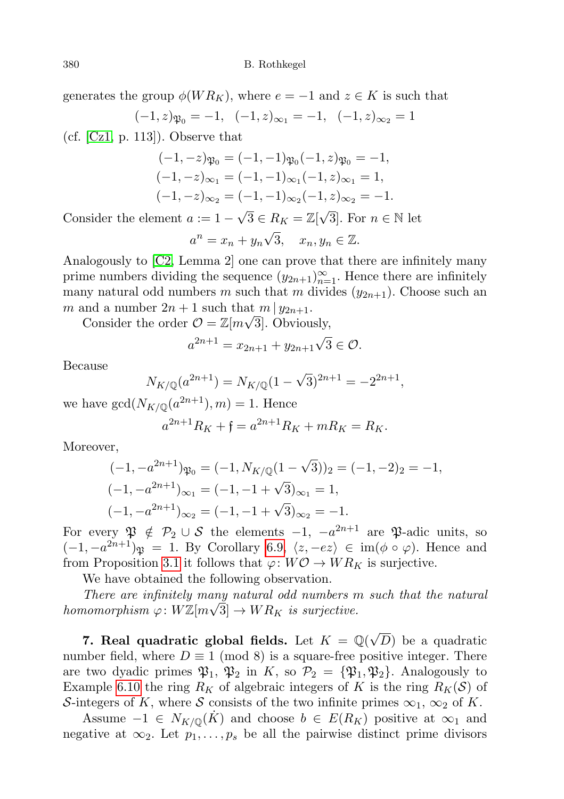generates the group  $\phi(W R_K)$ , where  $e = -1$  and  $z \in K$  is such that

$$
(-1, z)\varphi_0 = -1, \quad (-1, z)_{\infty_1} = -1, \quad (-1, z)_{\infty_2} = 1
$$

(cf.  $[Cz1, p. 113]$  $[Cz1, p. 113]$ ). Observe that

$$
(-1,-z)\mathfrak{P}_0 = (-1,-1)\mathfrak{P}_0(-1,z)\mathfrak{P}_0 = -1,
$$
  
\n
$$
(-1,-z)\mathfrak{D}_1 = (-1,-1)\mathfrak{D}_1(-1,z)\mathfrak{D}_1 = 1,
$$
  
\n
$$
(-1,-z)\mathfrak{D}_2 = (-1,-1)\mathfrak{D}_2(-1,z)\mathfrak{D}_2 = -1.
$$

Consider the element  $a := 1 \sqrt{3} \in R_K = \mathbb{Z}[\sqrt{3}].$  For  $n \in \mathbb{N}$  let √

$$
a^n = x_n + y_n \sqrt{3}, \quad x_n, y_n \in \mathbb{Z}.
$$

Analogously to [\[C2,](#page-34-2) Lemma 2] one can prove that there are infinitely many prime numbers dividing the sequence  $(y_{2n+1})_{n=1}^{\infty}$ . Hence there are infinitely many natural odd numbers m such that m divides  $(y_{2n+1})$ . Choose such an m and a number  $2n+1$  such that  $m \mid y_{2n+1}$ .

Consider the order  $\mathcal{O} = \mathbb{Z}[m\sqrt{3}]$ . Obviously,

$$
a^{2n+1} = x_{2n+1} + y_{2n+1}\sqrt{3} \in \mathcal{O}.
$$

Because

$$
N_{K/\mathbb{Q}}(a^{2n+1}) = N_{K/\mathbb{Q}}(1 - \sqrt{3})^{2n+1} = -2^{2n+1},
$$

we have  $gcd(N_{K/\mathbb{Q}}(a^{2n+1}), m) = 1$ . Hence

$$
a^{2n+1}R_K + \mathfrak{f} = a^{2n+1}R_K + mR_K = R_K.
$$

Moreover,

$$
(-1, -a^{2n+1})\varphi_0 = (-1, N_{K/\mathbb{Q}}(1 - \sqrt{3}))_2 = (-1, -2)_2 = -1,
$$
  

$$
(-1, -a^{2n+1})_{\infty_1} = (-1, -1 + \sqrt{3})_{\infty_1} = 1,
$$
  

$$
(-1, -a^{2n+1})_{\infty_2} = (-1, -1 + \sqrt{3})_{\infty_2} = -1.
$$

For every  $\mathfrak{P} \notin \mathcal{P}_2 \cup \mathcal{S}$  the elements  $-1$ ,  $-a^{2n+1}$  are  $\mathfrak{P}$ -adic units, so  $(-1, -a^{2n+1})\mathfrak{P} = 1$ . By Corollary [6.9,](#page-30-1)  $\langle z, -ez \rangle \in \text{im}(\phi \circ \varphi)$ . Hence and from Proposition [3.1](#page-9-0) it follows that  $\varphi: W\mathcal{O} \to WR_K$  is surjective.

We have obtained the following observation.

There are infinitely many natural odd numbers m such that the natural homomorphism  $\varphi \colon W \mathbb{Z}[m\sqrt{3}] \to W R_K$  is surjective.

<span id="page-31-0"></span>7. Real quadratic global fields. Let  $K = \mathbb{Q}(\sqrt{2})$ D) be a quadratic number field, where  $D \equiv 1 \pmod{8}$  is a square-free positive integer. There are two dyadic primes  $\mathfrak{P}_1$ ,  $\mathfrak{P}_2$  in K, so  $\mathcal{P}_2 = {\mathfrak{P}_1, \mathfrak{P}_2}$ . Analogously to Example [6.10](#page-30-2) the ring  $R_K$  of algebraic integers of K is the ring  $R_K(\mathcal{S})$  of S-integers of K, where S consists of the two infinite primes  $\infty_1$ ,  $\infty_2$  of K.

Assume  $-1 \in N_{K/\mathbb{Q}}(K)$  and choose  $b \in E(R_K)$  positive at  $\infty_1$  and negative at  $\infty_2$ . Let  $p_1, \ldots, p_s$  be all the pairwise distinct prime divisors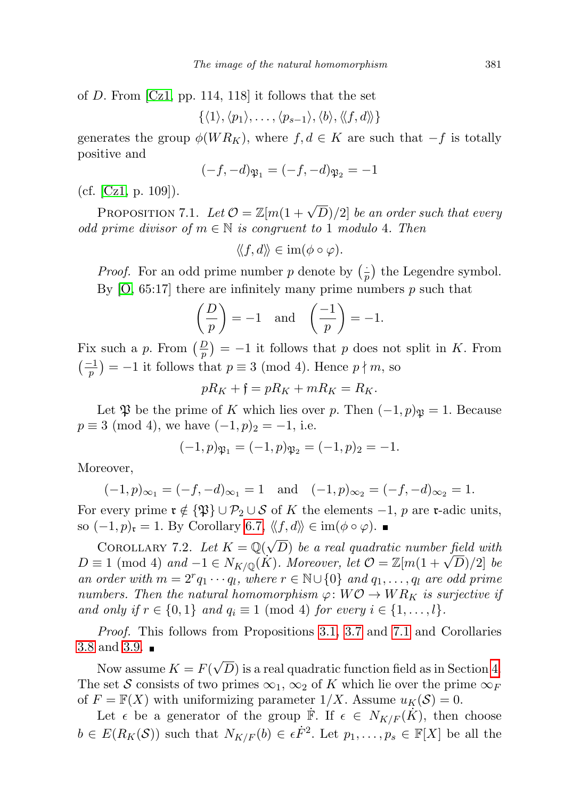of D. From [\[Cz1,](#page-34-6) pp. 114, 118] it follows that the set

 $\{\langle 1 \rangle, \langle p_1 \rangle, \ldots, \langle p_{s-1} \rangle, \langle b \rangle, \langle \langle f, d \rangle \rangle\}$ 

generates the group  $\phi(W R_K)$ , where  $f, d \in K$  are such that  $-f$  is totally positive and

$$
(-f, -d)\mathfrak{P}_1 = (-f, -d)\mathfrak{P}_2 = -1
$$

(cf. [\[Cz1,](#page-34-6) p. 109]).

<span id="page-32-0"></span>PROPOSITION 7.1. Let  $\mathcal{O} = \mathbb{Z}[m(1+\sqrt{D})/2]$  be an order such that every odd prime divisor of  $m \in \mathbb{N}$  is congruent to 1 modulo 4. Then

$$
\langle\!\langle f,d\rangle\!\rangle \in \operatorname{im}(\phi\circ\varphi).
$$

*Proof.* For an odd prime number p denote by  $\left(\frac{1}{r}\right)$  $(\frac{1}{p})$  the Legendre symbol. By  $[0, 65:17]$  there are infinitely many prime numbers p such that

$$
\left(\frac{D}{p}\right) = -1 \quad \text{and} \quad \left(\frac{-1}{p}\right) = -1.
$$

Fix such a p. From  $\left(\frac{D}{p}\right) = -1$  it follows that p does not split in K. From  $\left(\frac{-1}{p}\right) = -1$  it follows that  $p \equiv 3 \pmod{4}$ . Hence  $p \nmid m$ , so

$$
pR_K + \mathfrak{f} = pR_K + mR_K = R_K.
$$

Let  $\mathfrak{P}$  be the prime of K which lies over p. Then  $(-1, p)_{\mathfrak{P}} = 1$ . Because  $p \equiv 3 \pmod{4}$ , we have  $(-1, p)_2 = -1$ , i.e.

$$
(-1, p)\mathfrak{P}_1 = (-1, p)\mathfrak{P}_2 = (-1, p)_2 = -1.
$$

Moreover,

$$
(-1, p)_{\infty_1} = (-f, -d)_{\infty_1} = 1
$$
 and  $(-1, p)_{\infty_2} = (-f, -d)_{\infty_2} = 1$ .

For every prime  $\mathfrak{r} \notin {\mathfrak{P}} \cup {\mathfrak{P}}_2 \cup {\mathcal{S}}$  of K the elements  $-1$ , p are r-adic units, so  $(-1, p)_{\mathfrak{r}} = 1$ . By Corollary [6.7,](#page-29-0)  $\langle\langle f, d \rangle\rangle \in \text{im}(\phi \circ \varphi)$ . ■

COROLLARY 7.2. Let  $K = \mathbb{Q}(\sqrt{\frac{N}{N}})$ D) be a real quadratic number field with COROLLARY 1.2. Let  $K = \mathbb{Q}(\sqrt{D})$  be a real quadratic number field with  $D \equiv 1 \pmod{4}$  and  $-1 \in N_{K/\mathbb{Q}}(K)$ . Moreover, let  $\mathcal{O} = \mathbb{Z}[m(1+\sqrt{D})/2]$  be an order with  $m = 2^r q_1 \cdots q_l$ , where  $r \in \mathbb{N} \cup \{0\}$  and  $q_1, \ldots, q_l$  are odd prime numbers. Then the natural homomorphism  $\varphi: W\mathcal{O} \to WR_K$  is surjective if and only if  $r \in \{0,1\}$  and  $q_i \equiv 1 \pmod{4}$  for every  $i \in \{1,\ldots,l\}$ .

Proof. This follows from Propositions [3.1,](#page-9-0) [3.7](#page-12-0) and [7.1](#page-32-0) and Corollaries [3.8](#page-14-1) and [3.9.](#page-14-2) √

Now assume  $K = F($ D) is a real quadratic function field as in Section [4.](#page-15-0) The set S consists of two primes  $\infty_1$ ,  $\infty_2$  of K which lie over the prime  $\infty_F$ of  $F = \mathbb{F}(X)$  with uniformizing parameter  $1/X$ . Assume  $u_K(\mathcal{S}) = 0$ .

Let  $\epsilon$  be a generator of the group  $\dot{\mathbb{F}}$ . If  $\epsilon \in N_{K/F}(\dot{K})$ , then choose  $b \in E(R_K(\mathcal{S}))$  such that  $N_{K/F}(b) \in \epsilon \dot{F}^2$ . Let  $p_1, \ldots, p_s \in \mathbb{F}[X]$  be all the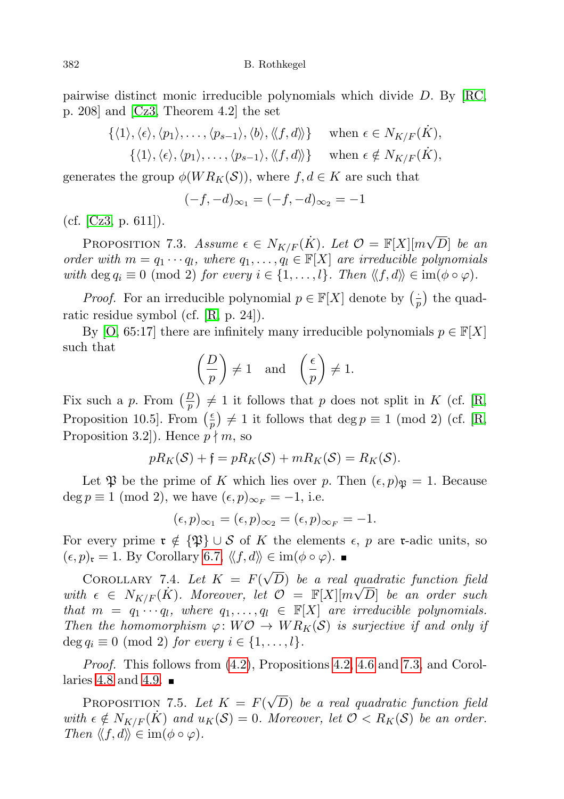pairwise distinct monic irreducible polynomials which divide D. By [\[RC,](#page-35-4) p. 208] and [\[Cz3,](#page-34-3) Theorem 4.2] the set

$$
\begin{aligned}\n\{\langle 1 \rangle, \langle \epsilon \rangle, \langle p_1 \rangle, \dots, \langle p_{s-1} \rangle, \langle b \rangle, \langle \langle f, d \rangle \rangle\} & \text{when } \epsilon \in N_{K/F}(\dot{K}), \\
\{\langle 1 \rangle, \langle \epsilon \rangle, \langle p_1 \rangle, \dots, \langle p_{s-1} \rangle, \langle \langle f, d \rangle \rangle\} & \text{when } \epsilon \notin N_{K/F}(\dot{K}),\n\end{aligned}
$$

generates the group  $\phi(W R_K(\mathcal{S}))$ , where  $f, d \in K$  are such that

$$
(-f, -d)_{\infty_1} = (-f, -d)_{\infty_2} = -1
$$

(cf. [\[Cz3,](#page-34-3) p. 611]).

<span id="page-33-0"></span>PROPOSITION 7.3. Assume  $\epsilon \in N_{K/F}(\dot{K})$ . Let  $\mathcal{O} = \mathbb{F}[X][m\sqrt{N}]$ D] be an order with  $m = q_1 \cdots q_l$ , where  $q_1, \ldots, q_l \in \mathbb{F}[X]$  are irreducible polynomials with deg  $q_i \equiv 0 \pmod{2}$  for every  $i \in \{1, ..., l\}$ . Then  $\langle f, d \rangle \in \text{im}(\phi \circ \varphi)$ .

*Proof.* For an irreducible polynomial  $p \in \mathbb{F}[X]$  denote by  $\left(\frac{1}{r}\right)$  $\frac{1}{p}$  the quadratic residue symbol (cf. [\[R,](#page-35-3) p. 24]).

By [\[O,](#page-35-6) 65:17] there are infinitely many irreducible polynomials  $p \in \mathbb{F}[X]$ such that

$$
\left(\frac{D}{p}\right) \neq 1 \quad \text{and} \quad \left(\frac{\epsilon}{p}\right) \neq 1.
$$

Fix such a p. From  $\left(\frac{D}{p}\right) \neq 1$  it follows that p does not split in K (cf. [\[R,](#page-35-3) Proposition 10.5. From  $\left(\frac{e}{n}\right)$  $\left(\frac{\epsilon}{p}\right) \neq 1$  it follows that  $\deg p \equiv 1 \pmod{2}$  (cf. [\[R,](#page-35-3) Proposition 3.2.. Hence  $p \nmid m$ , so

$$
pR_K(\mathcal{S}) + \mathfrak{f} = pR_K(\mathcal{S}) + mR_K(\mathcal{S}) = R_K(\mathcal{S}).
$$

Let  $\mathfrak P$  be the prime of K which lies over p. Then  $(\epsilon, p)_{\mathfrak P} = 1$ . Because deg  $p \equiv 1 \pmod{2}$ , we have  $(\epsilon, p)_{\infty_F} = -1$ , i.e.

$$
(\epsilon, p)_{\infty_1} = (\epsilon, p)_{\infty_2} = (\epsilon, p)_{\infty_F} = -1.
$$

For every prime  $\mathfrak{r} \notin \{\mathfrak{P}\}\cup\mathcal{S}$  of K the elements  $\epsilon$ , p are r-adic units, so  $(\epsilon, p)_{\mathfrak{r}} = 1$ . By Corollary [6.7,](#page-29-0)  $\langle \langle f, d \rangle \rangle \in \text{im}(\phi \circ \varphi)$ .

COROLLARY 7.4. Let  $K = F(\sqrt{\sqrt{2}})$ D) be a real quadratic function field with  $\epsilon \in N_{K/F}(\dot{K})$ . Moreover, let  $\mathcal{O} = \mathbb{F}[X][m\sqrt{D}]$  be an order such that  $m = q_1 \cdots q_l$ , where  $q_1, \ldots, q_l \in \mathbb{F}[X]$  are irreducible polynomials. Then the homomorphism  $\varphi: W\mathcal{O} \to WR_K(\mathcal{S})$  is surjective if and only if  $\deg q_i \equiv 0 \pmod{2}$  for every  $i \in \{1, \ldots, l\}.$ 

Proof. This follows from [\(4.2\)](#page-16-2), Propositions [4.2,](#page-16-3) [4.6](#page-17-0) and [7.3,](#page-33-0) and Corol-laries [4.8](#page-18-1) and [4.9.](#page-18-4)  $\blacksquare$ 

<span id="page-33-1"></span>Proposition 7.5. Let  $K = F(\sqrt{\sqrt{2}})$ D) be a real quadratic function field with  $\epsilon \notin N_{K/F}(K)$  and  $u_K(\mathcal{S}) = 0$ . Moreover, let  $\mathcal{O} < R_K(\mathcal{S})$  be an order. Then  $\langle f, d \rangle \in \text{im}(\phi \circ \varphi)$ .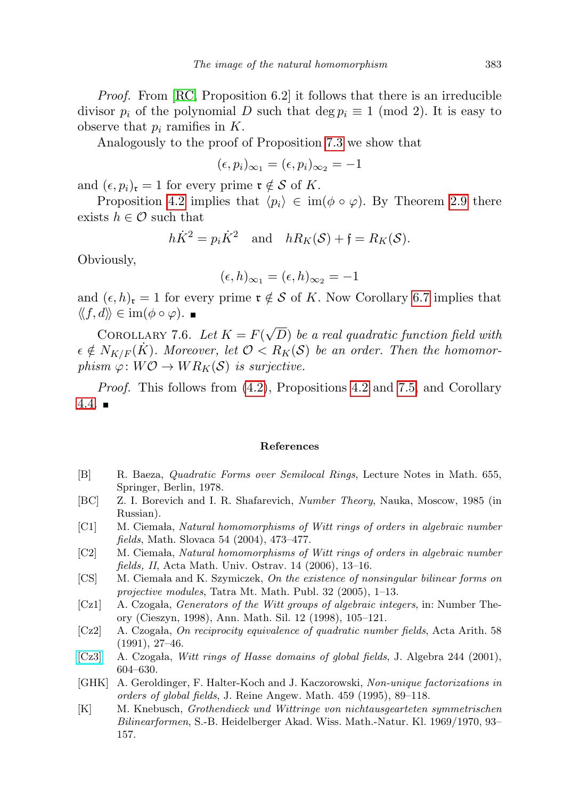Proof. From [\[RC,](#page-35-4) Proposition 6.2] it follows that there is an irreducible divisor  $p_i$  of the polynomial D such that deg  $p_i \equiv 1 \pmod{2}$ . It is easy to observe that  $p_i$  ramifies in  $K$ .

Analogously to the proof of Proposition [7.3](#page-33-0) we show that

$$
(\epsilon, p_i)_{\infty_1} = (\epsilon, p_i)_{\infty_2} = -1
$$

and  $(\epsilon, p_i)_{\mathfrak{r}} = 1$  for every prime  $\mathfrak{r} \notin \mathcal{S}$  of K.

Proposition [4.2](#page-16-3) implies that  $\langle p_i \rangle \in \text{im}(\phi \circ \varphi)$ . By Theorem [2.9](#page-7-3) there exists  $h \in \mathcal{O}$  such that

$$
h\dot{K}^2 = p_i\dot{K}^2
$$
 and  $hR_K(\mathcal{S}) + \mathfrak{f} = R_K(\mathcal{S}).$ 

Obviously,

$$
(\epsilon, h)_{\infty_1} = (\epsilon, h)_{\infty_2} = -1
$$

and  $(\epsilon, h)_{r} = 1$  for every prime  $r \notin S$  of K. Now Corollary [6.7](#page-29-0) implies that  $\langle \langle f, d \rangle \rangle \in \text{im}(\phi \circ \varphi).$ 

COROLLARY 7.6. Let  $K = F(\sqrt{\sqrt{\frac{F(\lambda)}}{F(\lambda)}})$ D) be a real quadratic function field with  $\epsilon \notin N_{K/F}(\dot{K})$ . Moreover, let  $\mathcal{O} < R_K(\mathcal{S})$  be an order. Then the homomorphism  $\varphi: W\mathcal{O} \to WR_K(\mathcal{S})$  is surjective.

Proof. This follows from [\(4.2\)](#page-16-2), Propositions [4.2](#page-16-3) and [7.5,](#page-33-1) and Corollary  $4.4.$ 

## References

- <span id="page-34-9"></span>[B] R. Baeza, Quadratic Forms over Semilocal Rings, Lecture Notes in Math. 655, Springer, Berlin, 1978.
- <span id="page-34-8"></span>[BC] Z. I. Borevich and I. R. Shafarevich, Number Theory, Nauka, Moscow, 1985 (in Russian).
- <span id="page-34-1"></span>[C1] M. Ciemala, Natural homomorphisms of Witt rings of orders in algebraic number fields, Math. Slovaca 54 (2004), 473–477.
- <span id="page-34-2"></span>[C2] M. Ciemala, Natural homomorphisms of Witt rings of orders in algebraic number fields, II, Acta Math. Univ. Ostrav. 14 (2006), 13–16.
- <span id="page-34-4"></span>[CS] M. Ciemala and K. Szymiczek, On the existence of nonsingular bilinear forms on projective modules, Tatra Mt. Math. Publ. 32 (2005), 1–13.
- <span id="page-34-6"></span>[Cz1] A. Czogała, Generators of the Witt groups of algebraic integers, in: Number Theory (Cieszyn, 1998), Ann. Math. Sil. 12 (1998), 105–121.
- <span id="page-34-7"></span> $[Cz2]$  A. Czogała, On reciprocity equivalence of quadratic number fields, Acta Arith. 58 (1991), 27–46.
- <span id="page-34-3"></span> $[Cz3]$  A. Czogała, *Witt rings of Hasse domains of global fields*, J. Algebra 244 (2001), 604–630.
- <span id="page-34-5"></span>[GHK] A. Geroldinger, F. Halter-Koch and J. Kaczorowski, Non-unique factorizations in orders of global fields, J. Reine Angew. Math. 459 (1995), 89–118.
- <span id="page-34-0"></span>[K] M. Knebusch, Grothendieck und Wittringe von nichtausgearteten symmetrischen Bilinearformen, S.-B. Heidelberger Akad. Wiss. Math.-Natur. Kl. 1969/1970, 93– 157.